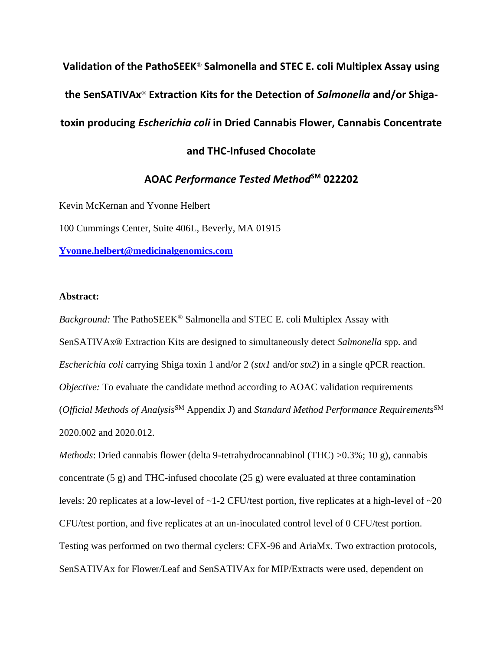**Validation of the PathoSEEK**® **Salmonella and STEC E. coli Multiplex Assay using the SenSATIVAx**® **Extraction Kits for the Detection of** *Salmonella* **and/or Shigatoxin producing** *Escherichia coli* **in Dried Cannabis Flower, Cannabis Concentrate** 

# **and THC-Infused Chocolate**

# **AOAC** *Performance Tested Method***SM 022202**

Kevin McKernan and Yvonne Helbert

100 Cummings Center, Suite 406L, Beverly, MA 01915

**[Yvonne.helbert@medicinalgenomics.com](mailto:Yvonne.helbert@medicinalgenomics.com)**

## **Abstract:**

*Background:* The PathoSEEK® Salmonella and STEC E. coli Multiplex Assay with SenSATIVAx® Extraction Kits are designed to simultaneously detect *Salmonella* spp. and *Escherichia coli* carrying Shiga toxin 1 and/or 2 (*stx1* and/or *stx2*) in a single qPCR reaction. *Objective:* To evaluate the candidate method according to AOAC validation requirements (*Official Methods of Analysis*SM Appendix J) and *Standard Method Performance Requirements*SM 2020.002 and 2020.012.

*Methods*: Dried cannabis flower (delta 9-tetrahydrocannabinol (THC) >0.3%; 10 g), cannabis concentrate (5 g) and THC-infused chocolate (25 g) were evaluated at three contamination levels: 20 replicates at a low-level of ~1-2 CFU/test portion, five replicates at a high-level of ~20 CFU/test portion, and five replicates at an un-inoculated control level of 0 CFU/test portion. Testing was performed on two thermal cyclers: CFX-96 and AriaMx. Two extraction protocols, SenSATIVAx for Flower/Leaf and SenSATIVAx for MIP/Extracts were used, dependent on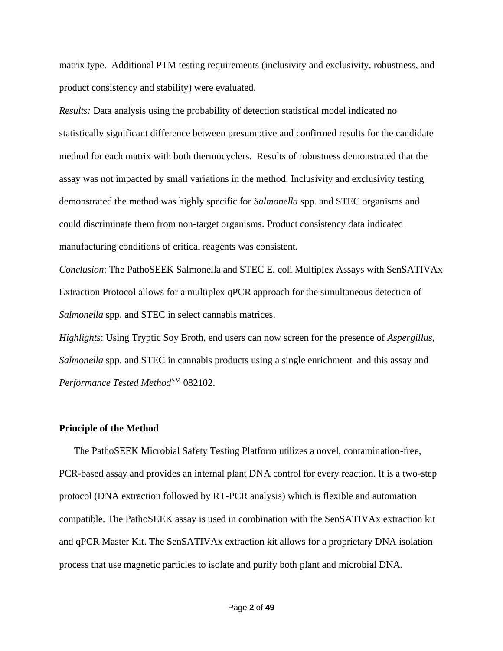matrix type. Additional PTM testing requirements (inclusivity and exclusivity, robustness, and product consistency and stability) were evaluated.

*Results:* Data analysis using the probability of detection statistical model indicated no statistically significant difference between presumptive and confirmed results for the candidate method for each matrix with both thermocyclers. Results of robustness demonstrated that the assay was not impacted by small variations in the method. Inclusivity and exclusivity testing demonstrated the method was highly specific for *Salmonella* spp. and STEC organisms and could discriminate them from non-target organisms. Product consistency data indicated manufacturing conditions of critical reagents was consistent.

*Conclusion*: The PathoSEEK Salmonella and STEC E. coli Multiplex Assays with SenSATIVAx Extraction Protocol allows for a multiplex qPCR approach for the simultaneous detection of *Salmonella* spp. and STEC in select cannabis matrices.

*Highlights*: Using Tryptic Soy Broth, end users can now screen for the presence of *Aspergillus, Salmonella* spp. and STEC in cannabis products using a single enrichment and this assay and *Performance Tested Method*SM 082102.

#### **Principle of the Method**

The PathoSEEK Microbial Safety Testing Platform utilizes a novel, contamination-free, PCR-based assay and provides an internal plant DNA control for every reaction. It is a two-step protocol (DNA extraction followed by RT-PCR analysis) which is flexible and automation compatible. The PathoSEEK assay is used in combination with the SenSATIVAx extraction kit and qPCR Master Kit. The SenSATIVAx extraction kit allows for a proprietary DNA isolation process that use magnetic particles to isolate and purify both plant and microbial DNA.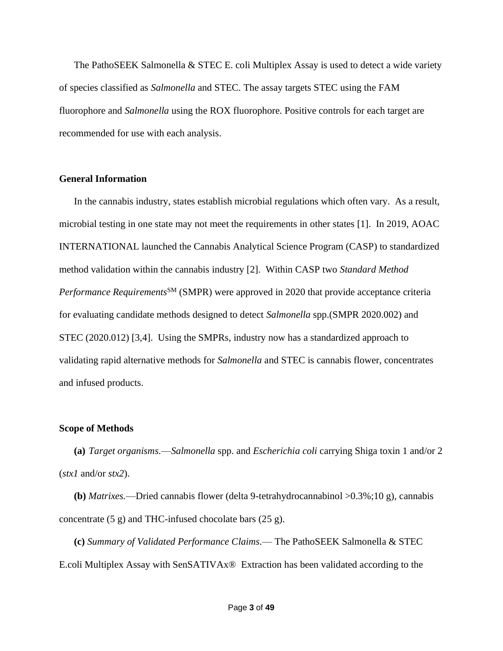The PathoSEEK Salmonella  $\&$  STEC E. coli Multiplex Assay is used to detect a wide variety of species classified as *Salmonella* and STEC. The assay targets STEC using the FAM fluorophore and *Salmonella* using the ROX fluorophore. Positive controls for each target are recommended for use with each analysis.

## **General Information**

In the cannabis industry, states establish microbial regulations which often vary. As a result, microbial testing in one state may not meet the requirements in other states [1]. In 2019, AOAC INTERNATIONAL launched the Cannabis Analytical Science Program (CASP) to standardized method validation within the cannabis industry [2]. Within CASP two *Standard Method Performance Requirements*SM (SMPR) were approved in 2020 that provide acceptance criteria for evaluating candidate methods designed to detect *Salmonella* spp.(SMPR 2020.002) and STEC (2020.012) [3,4]. Using the SMPRs, industry now has a standardized approach to validating rapid alternative methods for *Salmonella* and STEC is cannabis flower, concentrates and infused products.

### **Scope of Methods**

**(a)** *Target organisms.*—*Salmonella* spp. and *Escherichia coli* carrying Shiga toxin 1 and/or 2 (*stx1* and/or *stx2*).

**(b)** *Matrixes.*—Dried cannabis flower (delta 9-tetrahydrocannabinol >0.3%;10 g), cannabis concentrate (5 g) and THC-infused chocolate bars (25 g).

**(c)** *Summary of Validated Performance Claims.*— The PathoSEEK Salmonella & STEC E.coli Multiplex Assay with SenSATIVAx® Extraction has been validated according to the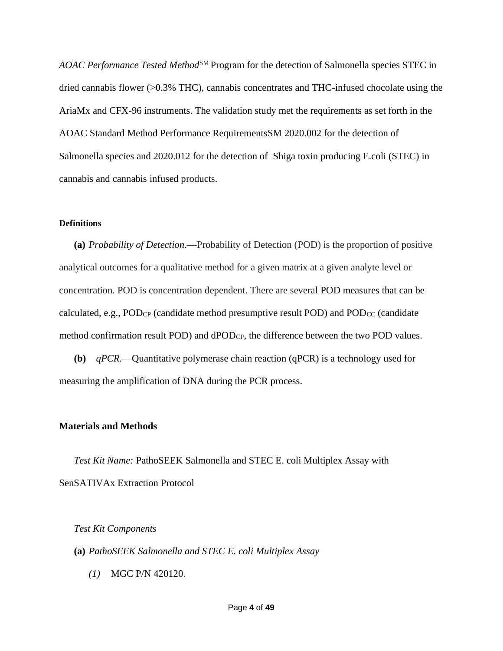AOAC Performance Tested Method<sup>SM</sup> Program for the detection of Salmonella species STEC in dried cannabis flower (>0.3% THC), cannabis concentrates and THC-infused chocolate using the AriaMx and CFX-96 instruments. The validation study met the requirements as set forth in the AOAC Standard Method Performance RequirementsSM 2020.002 for the detection of Salmonella species and 2020.012 for the detection of Shiga toxin producing E.coli (STEC) in cannabis and cannabis infused products.

#### **Definitions**

**(a)** *Probability of Detection*.—Probability of Detection (POD) is the proportion of positive analytical outcomes for a qualitative method for a given matrix at a given analyte level or concentration. POD is concentration dependent. There are several POD measures that can be calculated, e.g.,  $POD_{CP}$  (candidate method presumptive result POD) and  $POD_{CC}$  (candidate method confirmation result POD) and dPODCP, the difference between the two POD values.

**(b)** *qPCR*.—Quantitative polymerase chain reaction (qPCR) is a technology used for measuring the amplification of DNA during the PCR process.

## **Materials and Methods**

*Test Kit Name:* PathoSEEK Salmonella and STEC E. coli Multiplex Assay with SenSATIVAx Extraction Protocol

*Test Kit Components*

**(a)** *PathoSEEK Salmonella and STEC E. coli Multiplex Assay*

*(1)* MGC P/N 420120.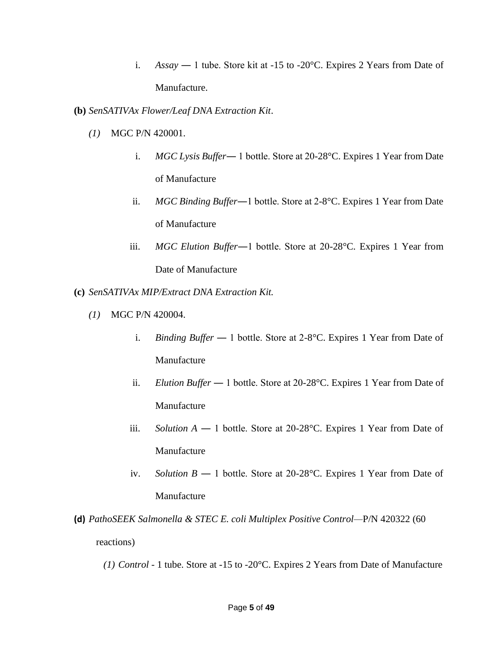i. *Assay* — 1 tube. Store kit at  $-15$  to  $-20^{\circ}$ C. Expires 2 Years from Date of Manufacture.

**(b)** *SenSATIVAx Flower/Leaf DNA Extraction Kit*.

- *(1)* MGC P/N 420001.
	- i. *MGC Lysis Buffer*― 1 bottle. Store at 20-28°C. Expires 1 Year from Date of Manufacture
	- ii. *MGC Binding Buffer*―1 bottle. Store at 2-8°C. Expires 1 Year from Date of Manufacture
	- iii. *MGC Elution Buffer*―1 bottle. Store at 20-28°C. Expires 1 Year from Date of Manufacture
- **(c)** *SenSATIVAx MIP/Extract DNA Extraction Kit.*
	- *(1)* MGC P/N 420004.
		- i. *Binding Buffer* 1 bottle. Store at 2-8°C. Expires 1 Year from Date of Manufacture
		- ii. *Elution Buffer* ― 1 bottle. Store at 20-28°C. Expires 1 Year from Date of Manufacture
		- iii. *Solution A* ― 1 bottle. Store at 20-28°C. Expires 1 Year from Date of Manufacture
		- iv. *Solution B* ― 1 bottle. Store at 20-28°C. Expires 1 Year from Date of Manufacture
- **(d)** *PathoSEEK Salmonella & STEC E. coli Multiplex Positive Control—*P/N 420322 (60 reactions)
	- *(1) Control* 1 tube. Store at -15 to -20°C. Expires 2 Years from Date of Manufacture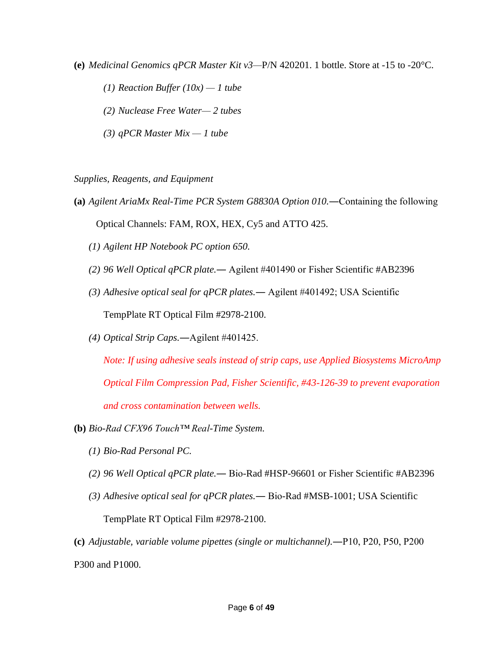- **(e)** *Medicinal Genomics qPCR Master Kit v3—*P/N 420201. 1 bottle. Store at -15 to -20°C.
	- *(1) Reaction Buffer*  $(10x) 1$  *tube*
	- *(2) Nuclease Free Water— 2 tubes*
	- *(3) qPCR Master Mix — 1 tube*

*Supplies, Reagents, and Equipment*

- **(a)** *Agilent AriaMx Real-Time PCR System G8830A Option 010.*―Containing the following Optical Channels: FAM, ROX, HEX, Cy5 and ATTO 425.
	- *(1) Agilent HP Notebook PC option 650.*
	- *(2) 96 Well Optical qPCR plate.*― Agilent #401490 or Fisher Scientific #AB2396
	- *(3) Adhesive optical seal for qPCR plates.*― Agilent #401492; USA Scientific TempPlate RT Optical Film #2978-2100.
	- *(4) Optical Strip Caps.*―Agilent #401425.

*Note: If using adhesive seals instead of strip caps, use Applied Biosystems MicroAmp Optical Film Compression Pad, Fisher Scientific, #43-126-39 to prevent evaporation and cross contamination between wells.* 

- **(b)** *Bio-Rad CFX96 Touch™ Real-Time System.*
	- *(1) Bio-Rad Personal PC.*
	- *(2) 96 Well Optical qPCR plate.*― Bio-Rad #HSP-96601 or Fisher Scientific #AB2396
	- *(3) Adhesive optical seal for qPCR plates.*― Bio-Rad #MSB-1001; USA Scientific TempPlate RT Optical Film #2978-2100.

**(c)** *Adjustable, variable volume pipettes (single or multichannel).*―P10, P20, P50, P200 P300 and P1000.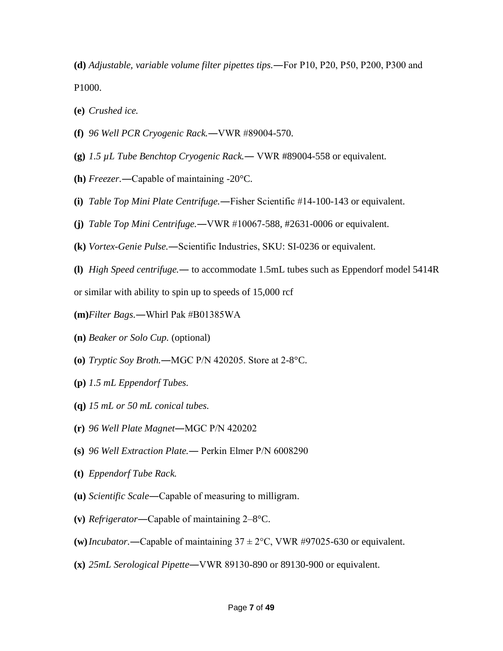**(d)** *Adjustable, variable volume filter pipettes tips.*―For P10, P20, P50, P200, P300 and P1000.

- **(e)** *Crushed ice.*
- **(f)** *96 Well PCR Cryogenic Rack.*―VWR #89004-570.
- **(g)** *1.5 µL Tube Benchtop Cryogenic Rack.*― VWR #89004-558 or equivalent.
- **(h)** *Freezer.*―Capable of maintaining -20°C.
- **(i)** *Table Top Mini Plate Centrifuge.*―Fisher Scientific #14-100-143 or equivalent.
- **(j)** *Table Top Mini Centrifuge.*―VWR #10067-588, #2631-0006 or equivalent.
- **(k)** *Vortex-Genie Pulse.*―Scientific Industries, SKU: SI-0236 or equivalent.
- **(l)** *High Speed centrifuge.*― to accommodate 1.5mL tubes such as Eppendorf model 5414R

or similar with ability to spin up to speeds of 15,000 rcf

- **(m)***Filter Bags.*―Whirl Pak #B01385WA
- **(n)** *Beaker or Solo Cup.* (optional)
- **(o)** *Tryptic Soy Broth.*―MGC P/N 420205. Store at 2-8°C.
- **(p)** *1.5 mL Eppendorf Tubes.*
- **(q)** *15 mL or 50 mL conical tubes.*
- **(r)** *96 Well Plate Magnet*―MGC P/N 420202
- **(s)** *96 Well Extraction Plate.*― Perkin Elmer P/N 6008290
- **(t)** *Eppendorf Tube Rack.*
- **(u)** *Scientific Scale*―Capable of measuring to milligram.
- **(v)** *Refrigerator*―Capable of maintaining 2–8°C.
- (w) *Incubator*.—Capable of maintaining  $37 \pm 2$ °C, VWR #97025-630 or equivalent.
- **(x)** *25mL Serological Pipette*―VWR 89130-890 or 89130-900 or equivalent.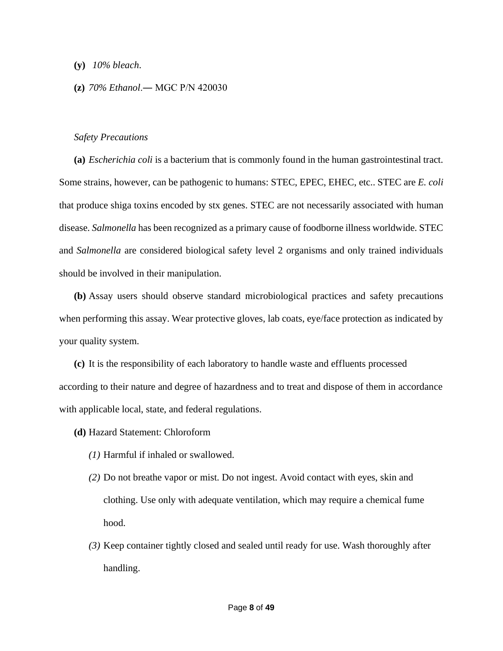- **(y)** *10% bleach*.
- **(z)** *70% Ethanol*.― MGC P/N 420030

## *Safety Precautions*

**(a)** *Escherichia coli* is a bacterium that is commonly found in the human gastrointestinal tract. Some strains, however, can be pathogenic to humans: STEC, EPEC, EHEC, etc.. STEC are *E. coli* that produce shiga toxins encoded by stx genes. STEC are not necessarily associated with human disease. *Salmonella* has been recognized as a primary cause of foodborne illness worldwide. STEC and *Salmonella* are considered biological safety level 2 organisms and only trained individuals should be involved in their manipulation.

**(b)** Assay users should observe standard microbiological practices and safety precautions when performing this assay. Wear protective gloves, lab coats, eye/face protection as indicated by your quality system.

**(c)** It is the responsibility of each laboratory to handle waste and effluents processed according to their nature and degree of hazardness and to treat and dispose of them in accordance with applicable local, state, and federal regulations.

**(d)** Hazard Statement: Chloroform

- *(1)* Harmful if inhaled or swallowed.
- *(2)* Do not breathe vapor or mist. Do not ingest. Avoid contact with eyes, skin and clothing. Use only with adequate ventilation, which may require a chemical fume hood.
- *(3)* Keep container tightly closed and sealed until ready for use. Wash thoroughly after handling.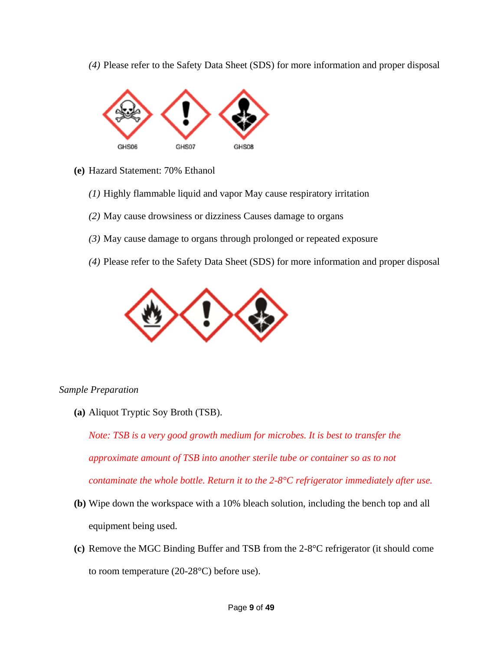*(4)* Please refer to the Safety Data Sheet (SDS) for more information and proper disposal



- **(e)** Hazard Statement: 70% Ethanol
	- *(1)* Highly flammable liquid and vapor May cause respiratory irritation
	- *(2)* May cause drowsiness or dizziness Causes damage to organs
	- *(3)* May cause damage to organs through prolonged or repeated exposure
	- *(4)* Please refer to the Safety Data Sheet (SDS) for more information and proper disposal



# *Sample Preparation*

**(a)** Aliquot Tryptic Soy Broth (TSB).

*Note: TSB is a very good growth medium for microbes. It is best to transfer the approximate amount of TSB into another sterile tube or container so as to not contaminate the whole bottle. Return it to the 2-8°C refrigerator immediately after use.*

- **(b)** Wipe down the workspace with a 10% bleach solution, including the bench top and all equipment being used.
- **(c)** Remove the MGC Binding Buffer and TSB from the 2-8°C refrigerator (it should come to room temperature (20-28°C) before use).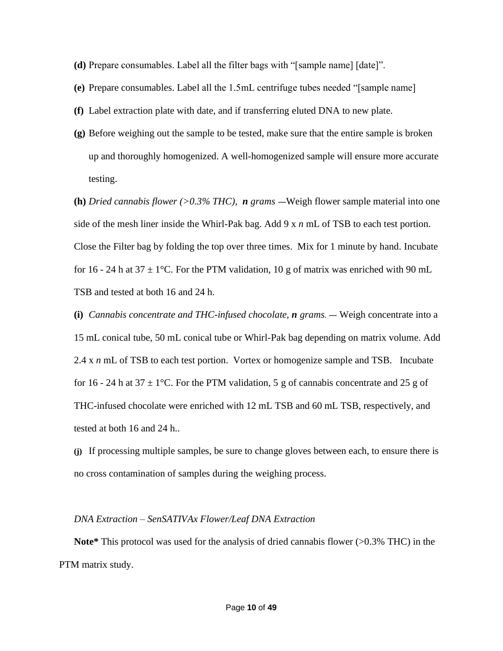- **(d)** Prepare consumables. Label all the filter bags with "[sample name] [date]".
- **(e)** Prepare consumables. Label all the 1.5mL centrifuge tubes needed "[sample name]
- **(f)** Label extraction plate with date, and if transferring eluted DNA to new plate.
- **(g)** Before weighing out the sample to be tested, make sure that the entire sample is broken up and thoroughly homogenized. A well-homogenized sample will ensure more accurate testing.

**(h)** *Dried cannabis flower (>0.3% THC), n grams* ―Weigh flower sample material into one side of the mesh liner inside the Whirl-Pak bag. Add 9 x *n* mL of TSB to each test portion. Close the Filter bag by folding the top over three times. Mix for 1 minute by hand. Incubate for 16 - 24 h at 37  $\pm$  1<sup>o</sup>C. For the PTM validation, 10 g of matrix was enriched with 90 mL TSB and tested at both 16 and 24 h.

**(i)** *Cannabis concentrate and THC-infused chocolate, n grams.* ― Weigh concentrate into a 15 mL conical tube, 50 mL conical tube or Whirl-Pak bag depending on matrix volume. Add 2.4 x *n* mL of TSB to each test portion. Vortex or homogenize sample and TSB. Incubate for 16 - 24 h at 37  $\pm$  1<sup>o</sup>C. For the PTM validation, 5 g of cannabis concentrate and 25 g of THC-infused chocolate were enriched with 12 mL TSB and 60 mL TSB, respectively, and tested at both 16 and 24 h..

**(j)** If processing multiple samples, be sure to change gloves between each, to ensure there is no cross contamination of samples during the weighing process.

#### *DNA Extraction – SenSATIVAx Flower/Leaf DNA Extraction*

**Note\*** This protocol was used for the analysis of dried cannabis flower (>0.3% THC) in the PTM matrix study.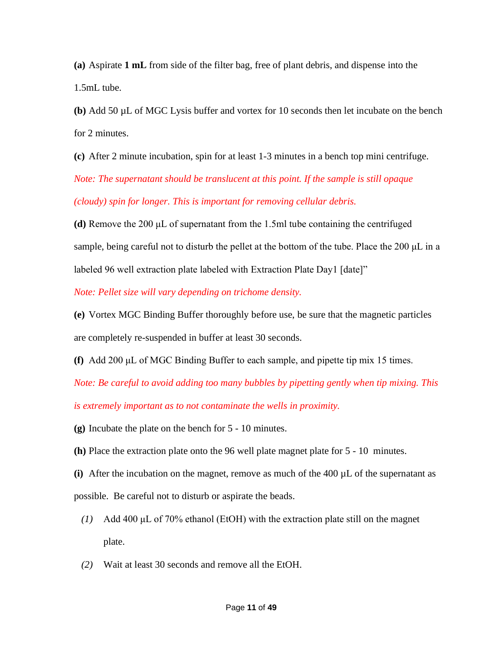**(a)** Aspirate **1 mL** from side of the filter bag, free of plant debris, and dispense into the 1.5mL tube.

**(b)** Add 50 µL of MGC Lysis buffer and vortex for 10 seconds then let incubate on the bench for 2 minutes.

**(c)** After 2 minute incubation, spin for at least 1-3 minutes in a bench top mini centrifuge.

*Note: The supernatant should be translucent at this point. If the sample is still opaque (cloudy) spin for longer. This is important for removing cellular debris.* 

**(d)** Remove the 200 μL of supernatant from the 1.5ml tube containing the centrifuged sample, being careful not to disturb the pellet at the bottom of the tube. Place the 200 μL in a labeled 96 well extraction plate labeled with Extraction Plate Day1 [date]"

*Note: Pellet size will vary depending on trichome density.*

**(e)** Vortex MGC Binding Buffer thoroughly before use, be sure that the magnetic particles are completely re-suspended in buffer at least 30 seconds.

**(f)** Add 200 μL of MGC Binding Buffer to each sample, and pipette tip mix 15 times.

*Note: Be careful to avoid adding too many bubbles by pipetting gently when tip mixing. This* 

*is extremely important as to not contaminate the wells in proximity.* 

**(g)** Incubate the plate on the bench for 5 - 10 minutes.

**(h)** Place the extraction plate onto the 96 well plate magnet plate for 5 - 10 minutes.

**(i)** After the incubation on the magnet, remove as much of the 400 µL of the supernatant as possible. Be careful not to disturb or aspirate the beads.

- *(1)* Add 400 μL of 70% ethanol (EtOH) with the extraction plate still on the magnet plate.
- *(2)* Wait at least 30 seconds and remove all the EtOH.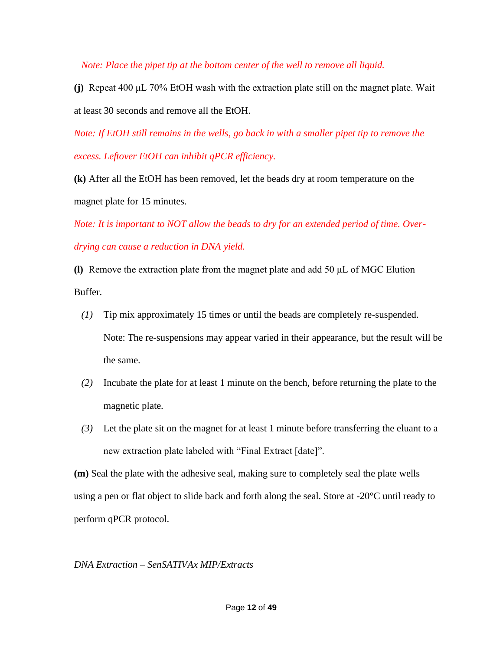*Note: Place the pipet tip at the bottom center of the well to remove all liquid.* 

**(j)** Repeat 400 μL 70% EtOH wash with the extraction plate still on the magnet plate. Wait at least 30 seconds and remove all the EtOH.

*Note: If EtOH still remains in the wells, go back in with a smaller pipet tip to remove the excess. Leftover EtOH can inhibit qPCR efficiency.* 

**(k)** After all the EtOH has been removed, let the beads dry at room temperature on the magnet plate for 15 minutes.

*Note: It is important to NOT allow the beads to dry for an extended period of time. Overdrying can cause a reduction in DNA yield.* 

**(l)** Remove the extraction plate from the magnet plate and add 50 μL of MGC Elution Buffer.

- *(1)* Tip mix approximately 15 times or until the beads are completely re-suspended. Note: The re-suspensions may appear varied in their appearance, but the result will be the same.
- *(2)* Incubate the plate for at least 1 minute on the bench, before returning the plate to the magnetic plate.
- *(3)* Let the plate sit on the magnet for at least 1 minute before transferring the eluant to a new extraction plate labeled with "Final Extract [date]".

**(m)** Seal the plate with the adhesive seal, making sure to completely seal the plate wells using a pen or flat object to slide back and forth along the seal. Store at -20°C until ready to perform qPCR protocol.

*DNA Extraction – SenSATIVAx MIP/Extracts*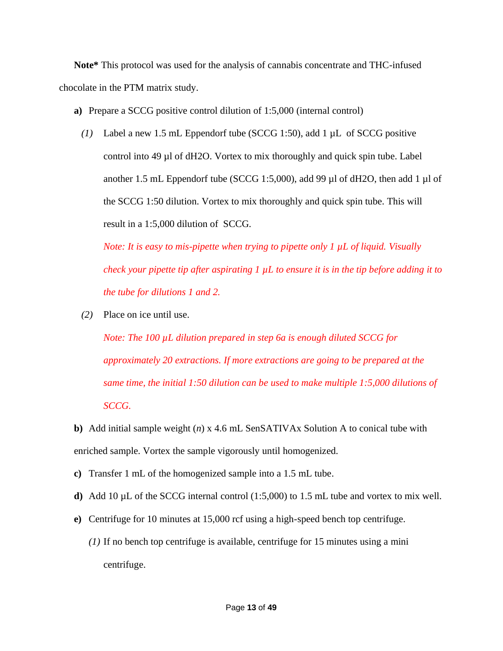**Note\*** This protocol was used for the analysis of cannabis concentrate and THC-infused chocolate in the PTM matrix study.

- **a)** Prepare a SCCG positive control dilution of 1:5,000 (internal control)
	- *(1)* Label a new 1.5 mL Eppendorf tube (SCCG 1:50), add 1 µL of SCCG positive control into  $49 \mu$ l of dH2O. Vortex to mix thoroughly and quick spin tube. Label another 1.5 mL Eppendorf tube (SCCG 1:5,000), add 99 µl of dH2O, then add 1 µl of the SCCG 1:50 dilution. Vortex to mix thoroughly and quick spin tube. This will result in a 1:5,000 dilution of SCCG.

*Note: It is easy to mis-pipette when trying to pipette only 1 µL of liquid. Visually check your pipette tip after aspirating 1 µL to ensure it is in the tip before adding it to the tube for dilutions 1 and 2.* 

*(2)* Place on ice until use.

*Note: The 100 µL dilution prepared in step 6a is enough diluted SCCG for approximately 20 extractions. If more extractions are going to be prepared at the same time, the initial 1:50 dilution can be used to make multiple 1:5,000 dilutions of SCCG.*

**b)** Add initial sample weight (*n*) x 4.6 mL SenSATIVAx Solution A to conical tube with enriched sample. Vortex the sample vigorously until homogenized.

- **c)** Transfer 1 mL of the homogenized sample into a 1.5 mL tube.
- **d)** Add 10 µL of the SCCG internal control (1:5,000) to 1.5 mL tube and vortex to mix well.
- **e)** Centrifuge for 10 minutes at 15,000 rcf using a high-speed bench top centrifuge.
	- *(1)* If no bench top centrifuge is available, centrifuge for 15 minutes using a mini centrifuge.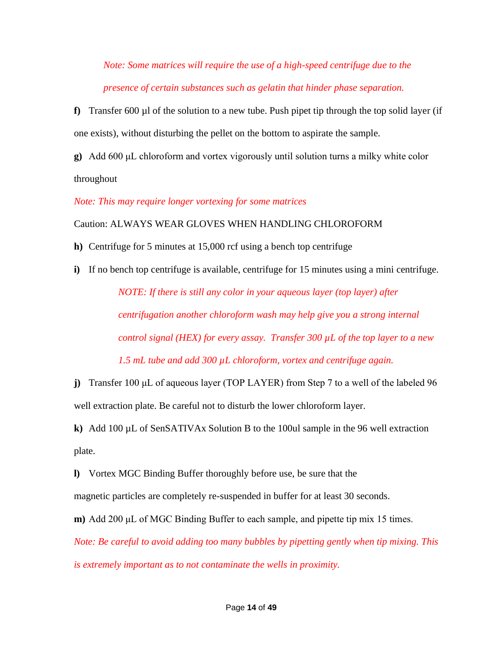*Note: Some matrices will require the use of a high-speed centrifuge due to the presence of certain substances such as gelatin that hinder phase separation.*

**f)** Transfer 600  $\mu$ l of the solution to a new tube. Push pipet tip through the top solid layer (if one exists), without disturbing the pellet on the bottom to aspirate the sample.

**g)** Add 600 μL chloroform and vortex vigorously until solution turns a milky white color throughout

*Note: This may require longer vortexing for some matrices*

Caution: ALWAYS WEAR GLOVES WHEN HANDLING CHLOROFORM

**h)** Centrifuge for 5 minutes at 15,000 rcf using a bench top centrifuge

**i)** If no bench top centrifuge is available, centrifuge for 15 minutes using a mini centrifuge. *NOTE: If there is still any color in your aqueous layer (top layer) after centrifugation another chloroform wash may help give you a strong internal control signal (HEX) for every assay. Transfer 300 µL of the top layer to a new* 

*1.5 mL tube and add 300 µL chloroform, vortex and centrifuge again.*

**j)** Transfer 100 μL of aqueous layer (TOP LAYER) from Step 7 to a well of the labeled 96 well extraction plate. Be careful not to disturb the lower chloroform layer.

**k)** Add 100 µL of SenSATIVAx Solution B to the 100ul sample in the 96 well extraction plate.

**l)** Vortex MGC Binding Buffer thoroughly before use, be sure that the

magnetic particles are completely re-suspended in buffer for at least 30 seconds.

**m)** Add 200 μL of MGC Binding Buffer to each sample, and pipette tip mix 15 times.

*Note: Be careful to avoid adding too many bubbles by pipetting gently when tip mixing. This is extremely important as to not contaminate the wells in proximity.*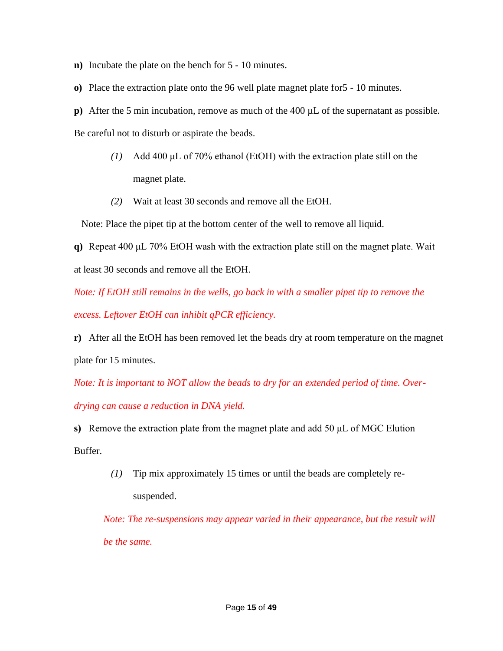- **n)** Incubate the plate on the bench for 5 10 minutes.
- **o)** Place the extraction plate onto the 96 well plate magnet plate for5 10 minutes.
- **p**) After the 5 min incubation, remove as much of the 400  $\mu$ L of the supernatant as possible.

Be careful not to disturb or aspirate the beads.

- *(1)* Add 400 μL of 70% ethanol (EtOH) with the extraction plate still on the magnet plate.
- *(2)* Wait at least 30 seconds and remove all the EtOH.

Note: Place the pipet tip at the bottom center of the well to remove all liquid.

**q)** Repeat 400 μL 70% EtOH wash with the extraction plate still on the magnet plate. Wait at least 30 seconds and remove all the EtOH.

*Note: If EtOH still remains in the wells, go back in with a smaller pipet tip to remove the excess. Leftover EtOH can inhibit qPCR efficiency.* 

**r)** After all the EtOH has been removed let the beads dry at room temperature on the magnet plate for 15 minutes.

*Note: It is important to NOT allow the beads to dry for an extended period of time. Over-*

*drying can cause a reduction in DNA yield.* 

**s)** Remove the extraction plate from the magnet plate and add 50 μL of MGC Elution Buffer.

> *(1)* Tip mix approximately 15 times or until the beads are completely resuspended.

*Note: The re-suspensions may appear varied in their appearance, but the result will be the same.*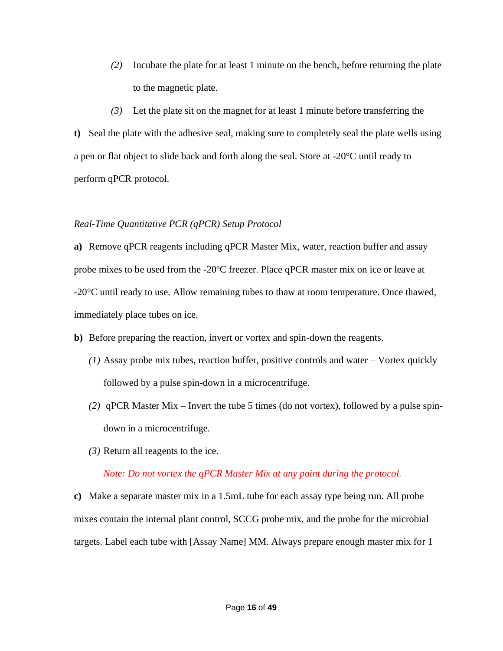*(2)* Incubate the plate for at least 1 minute on the bench, before returning the plate to the magnetic plate.

*(3)* Let the plate sit on the magnet for at least 1 minute before transferring the **t)** Seal the plate with the adhesive seal, making sure to completely seal the plate wells using a pen or flat object to slide back and forth along the seal. Store at -20°C until ready to perform qPCR protocol.

## *Real-Time Quantitative PCR (qPCR) Setup Protocol*

**a)** Remove qPCR reagents including qPCR Master Mix, water, reaction buffer and assay probe mixes to be used from the  $-20^{\circ}$ C freezer. Place qPCR master mix on ice or leave at -20°C until ready to use. Allow remaining tubes to thaw at room temperature. Once thawed, immediately place tubes on ice.

- **b)** Before preparing the reaction, invert or vortex and spin-down the reagents.
	- *(1)* Assay probe mix tubes, reaction buffer, positive controls and water Vortex quickly followed by a pulse spin-down in a microcentrifuge.
	- *(2)* qPCR Master Mix Invert the tube 5 times (do not vortex), followed by a pulse spindown in a microcentrifuge.
	- *(3)* Return all reagents to the ice.

# *Note: Do not vortex the qPCR Master Mix at any point during the protocol.*

**c)** Make a separate master mix in a 1.5mL tube for each assay type being run. All probe mixes contain the internal plant control, SCCG probe mix, and the probe for the microbial targets. Label each tube with [Assay Name] MM. Always prepare enough master mix for 1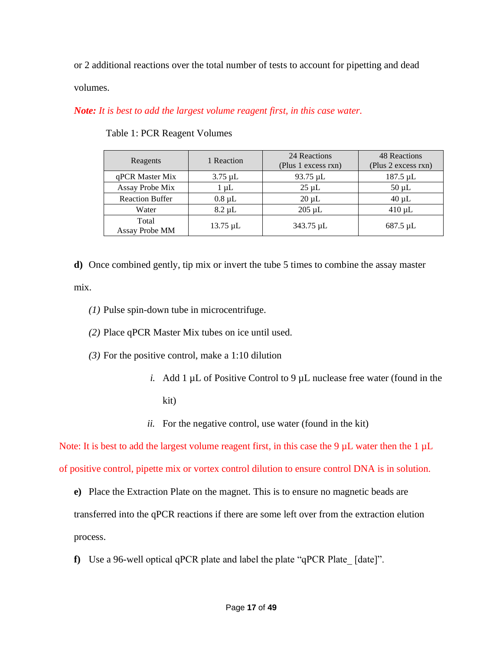or 2 additional reactions over the total number of tests to account for pipetting and dead

volumes.

*Note: It is best to add the largest volume reagent first, in this case water.*

| Reagents                | 1 Reaction    | 24 Reactions<br>(Plus 1 excess rxn) | 48 Reactions<br>(Plus 2 excess rxn) |
|-------------------------|---------------|-------------------------------------|-------------------------------------|
| qPCR Master Mix         | $3.75 \mu L$  | 93.75 µL                            | 187.5 µL                            |
| Assay Probe Mix         | $1 \mu L$     | $25 \mu L$                          | $50 \mu L$                          |
| <b>Reaction Buffer</b>  | $0.8 \mu L$   | $20 \mu L$                          | $40 \mu L$                          |
| Water                   | $8.2 \mu L$   | $205 \mu L$                         | $410 \mu L$                         |
| Total<br>Assay Probe MM | $13.75 \mu L$ | 343.75 µL                           | $687.5 \mu L$                       |

Table 1: PCR Reagent Volumes

**d)** Once combined gently, tip mix or invert the tube 5 times to combine the assay master mix.

- *(1)* Pulse spin-down tube in microcentrifuge.
- *(2)* Place qPCR Master Mix tubes on ice until used.
- *(3)* For the positive control, make a 1:10 dilution
	- *i.* Add 1 µL of Positive Control to 9 µL nuclease free water (found in the kit)
	- *ii.* For the negative control, use water (found in the kit)

Note: It is best to add the largest volume reagent first, in this case the 9  $\mu$ L water then the 1  $\mu$ L of positive control, pipette mix or vortex control dilution to ensure control DNA is in solution.

- **e)** Place the Extraction Plate on the magnet. This is to ensure no magnetic beads are transferred into the qPCR reactions if there are some left over from the extraction elution process.
- **f**) Use a 96-well optical qPCR plate and label the plate "qPCR Plate [date]".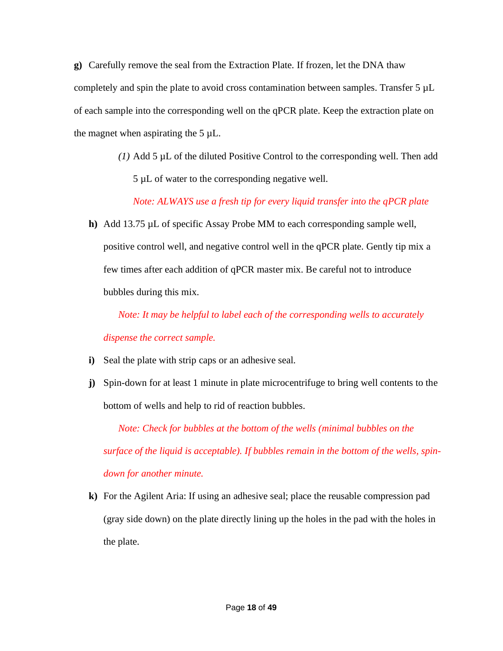**g)** Carefully remove the seal from the Extraction Plate. If frozen, let the DNA thaw completely and spin the plate to avoid cross contamination between samples. Transfer 5 µL of each sample into the corresponding well on the qPCR plate. Keep the extraction plate on the magnet when aspirating the  $5 \mu L$ .

> *(1)* Add 5 µL of the diluted Positive Control to the corresponding well. Then add 5 µL of water to the corresponding negative well.

*Note: ALWAYS use a fresh tip for every liquid transfer into the qPCR plate*

**h)** Add 13.75 µL of specific Assay Probe MM to each corresponding sample well, positive control well, and negative control well in the qPCR plate. Gently tip mix a few times after each addition of qPCR master mix. Be careful not to introduce bubbles during this mix.

*Note: It may be helpful to label each of the corresponding wells to accurately dispense the correct sample.*

- **i)** Seal the plate with strip caps or an adhesive seal.
- **j)** Spin-down for at least 1 minute in plate microcentrifuge to bring well contents to the bottom of wells and help to rid of reaction bubbles.

*Note: Check for bubbles at the bottom of the wells (minimal bubbles on the surface of the liquid is acceptable). If bubbles remain in the bottom of the wells, spindown for another minute.*

**k)** For the Agilent Aria: If using an adhesive seal; place the reusable compression pad (gray side down) on the plate directly lining up the holes in the pad with the holes in the plate.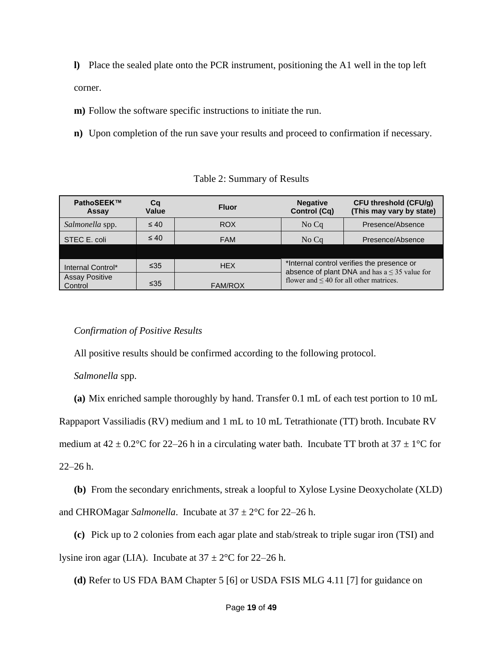**l)** Place the sealed plate onto the PCR instrument, positioning the A1 well in the top left corner.

**m)** Follow the software specific instructions to initiate the run.

**n)** Upon completion of the run save your results and proceed to confirmation if necessary.

| PathoSEEK™<br>Assay              | Cq<br>Value | <b>Fluor</b>   | <b>Negative</b><br><b>Control (Cq)</b>       | <b>CFU threshold (CFU/g)</b><br>(This may vary by state)                                         |
|----------------------------------|-------------|----------------|----------------------------------------------|--------------------------------------------------------------------------------------------------|
| Salmonella spp.                  | $\leq 40$   | ROX            | No Cq                                        | Presence/Absence                                                                                 |
| STEC E. coli                     | $\leq 40$   | <b>FAM</b>     | No Cq                                        | Presence/Absence                                                                                 |
|                                  |             |                |                                              |                                                                                                  |
| Internal Control*                | $\leq 35$   | <b>HEX</b>     |                                              | *Internal control verifies the presence or<br>absence of plant DNA and has $a \leq 35$ value for |
| <b>Assay Positive</b><br>Control | $\leq 35$   | <b>FAM/ROX</b> | flower and $\leq 40$ for all other matrices. |                                                                                                  |

Table 2: Summary of Results

# *Confirmation of Positive Results*

All positive results should be confirmed according to the following protocol.

*Salmonella* spp.

**(a)** Mix enriched sample thoroughly by hand. Transfer 0.1 mL of each test portion to 10 mL

Rappaport Vassiliadis (RV) medium and 1 mL to 10 mL Tetrathionate (TT) broth. Incubate RV

medium at  $42 \pm 0.2^{\circ}$ C for 22–26 h in a circulating water bath. Incubate TT broth at  $37 \pm 1^{\circ}$ C for

22–26 h.

**(b)** From the secondary enrichments, streak a loopful to Xylose Lysine Deoxycholate (XLD) and CHROMagar *Salmonella*. Incubate at  $37 \pm 2^{\circ}$ C for 22–26 h.

**(c)** Pick up to 2 colonies from each agar plate and stab/streak to triple sugar iron (TSI) and

lysine iron agar (LIA). Incubate at  $37 \pm 2^{\circ}$ C for 22–26 h.

**(d)** Refer to US FDA BAM Chapter 5 [6] or USDA FSIS MLG 4.11 [7] for guidance on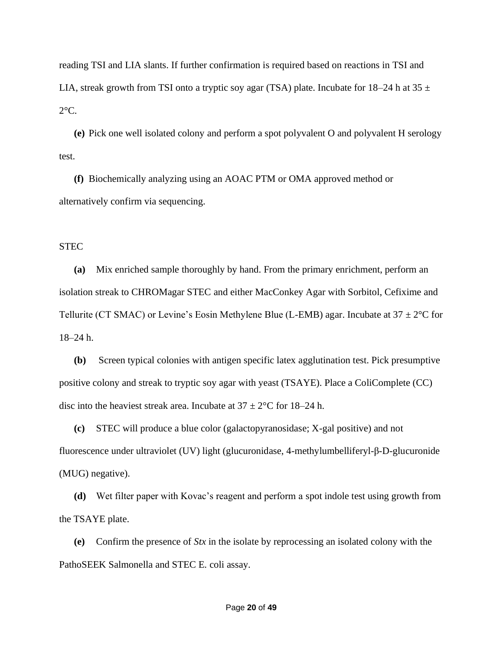reading TSI and LIA slants. If further confirmation is required based on reactions in TSI and LIA, streak growth from TSI onto a tryptic soy agar (TSA) plate. Incubate for 18–24 h at 35  $\pm$  $2^{\circ}$ C.

**(e)** Pick one well isolated colony and perform a spot polyvalent O and polyvalent H serology test.

**(f)** Biochemically analyzing using an AOAC PTM or OMA approved method or alternatively confirm via sequencing.

# **STEC**

**(a)** Mix enriched sample thoroughly by hand. From the primary enrichment, perform an isolation streak to CHROMagar STEC and either MacConkey Agar with Sorbitol, Cefixime and Tellurite (CT SMAC) or Levine's Eosin Methylene Blue (L-EMB) agar. Incubate at  $37 \pm 2^{\circ}$ C for 18–24 h.

**(b)** Screen typical colonies with antigen specific latex agglutination test. Pick presumptive positive colony and streak to tryptic soy agar with yeast (TSAYE). Place a ColiComplete (CC) disc into the heaviest streak area. Incubate at  $37 \pm 2^{\circ}$ C for 18–24 h.

**(c)** STEC will produce a blue color (galactopyranosidase; X-gal positive) and not fluorescence under ultraviolet (UV) light (glucuronidase, 4-methylumbelliferyl-β-D-glucuronide (MUG) negative).

**(d)** Wet filter paper with Kovac's reagent and perform a spot indole test using growth from the TSAYE plate.

**(e)** Confirm the presence of *Stx* in the isolate by reprocessing an isolated colony with the PathoSEEK Salmonella and STEC E. coli assay.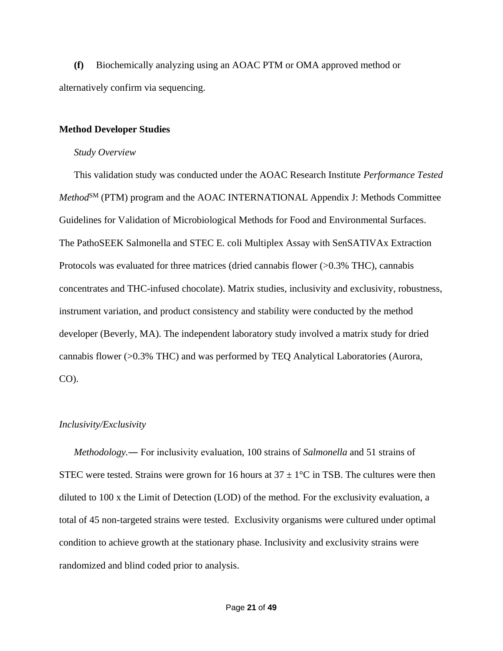**(f)** Biochemically analyzing using an AOAC PTM or OMA approved method or alternatively confirm via sequencing.

## **Method Developer Studies**

#### *Study Overview*

This validation study was conducted under the AOAC Research Institute *Performance Tested Method*<sup>SM</sup> (PTM) program and the AOAC INTERNATIONAL Appendix J: Methods Committee Guidelines for Validation of Microbiological Methods for Food and Environmental Surfaces. The PathoSEEK Salmonella and STEC E. coli Multiplex Assay with SenSATIVAx Extraction Protocols was evaluated for three matrices (dried cannabis flower  $(>0.3\%$  THC), cannabis concentrates and THC-infused chocolate). Matrix studies, inclusivity and exclusivity, robustness, instrument variation, and product consistency and stability were conducted by the method developer (Beverly, MA). The independent laboratory study involved a matrix study for dried cannabis flower (>0.3% THC) and was performed by TEQ Analytical Laboratories (Aurora, CO).

## *Inclusivity/Exclusivity*

*Methodology.*― For inclusivity evaluation, 100 strains of *Salmonella* and 51 strains of STEC were tested. Strains were grown for 16 hours at  $37 \pm 1^{\circ}$ C in TSB. The cultures were then diluted to 100 x the Limit of Detection (LOD) of the method. For the exclusivity evaluation, a total of 45 non-targeted strains were tested. Exclusivity organisms were cultured under optimal condition to achieve growth at the stationary phase. Inclusivity and exclusivity strains were randomized and blind coded prior to analysis.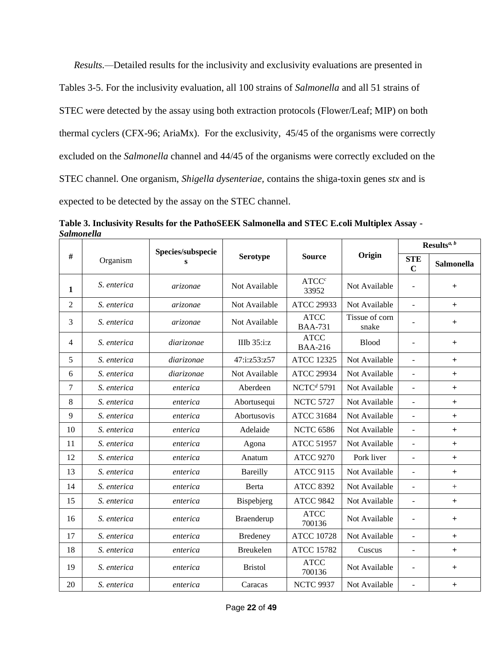*Results.—*Detailed results for the inclusivity and exclusivity evaluations are presented in Tables 3-5. For the inclusivity evaluation, all 100 strains of *Salmonella* and all 51 strains of STEC were detected by the assay using both extraction protocols (Flower/Leaf; MIP) on both thermal cyclers (CFX-96; AriaMx). For the exclusivity, 45/45 of the organisms were correctly excluded on the *Salmonella* channel and 44/45 of the organisms were correctly excluded on the STEC channel. One organism, *Shigella dysenteriae,* contains the shiga-toxin genes *stx* and is expected to be detected by the assay on the STEC channel.

|                |             | Species/subspecie |                   |                               |                         | Results <sup>a, b</sup>      |                                  |
|----------------|-------------|-------------------|-------------------|-------------------------------|-------------------------|------------------------------|----------------------------------|
| #              | Organism    | s                 | <b>Serotype</b>   | <b>Source</b>                 | Origin                  | <b>STE</b><br>$\mathbf C$    | <b>Salmonella</b>                |
| 1              | S. enterica | arizonae          | Not Available     | ATCC <sup>c</sup><br>33952    | Not Available           | $\qquad \qquad \blacksquare$ | $+$                              |
| $\overline{2}$ | S. enterica | arizonae          | Not Available     | <b>ATCC 29933</b>             | Not Available           | $\overline{a}$               | $+$                              |
| 3              | S. enterica | arizonae          | Not Available     | <b>ATCC</b><br><b>BAA-731</b> | Tissue of corn<br>snake |                              | $+$                              |
| $\overline{4}$ | S. enterica | <i>diarizonae</i> | IIIb $35$ :i: $z$ | <b>ATCC</b><br><b>BAA-216</b> | <b>Blood</b>            | $\blacksquare$               | $+$                              |
| 5              | S. enterica | diarizonae        | 47:i:z53:z57      | <b>ATCC 12325</b>             | Not Available           | $\blacksquare$               | $+$                              |
| 6              | S. enterica | <i>diarizonae</i> | Not Available     | <b>ATCC 29934</b>             | Not Available           | $\blacksquare$               | $+$                              |
| $\overline{7}$ | S. enterica | enterica          | Aberdeen          | NCTC <sup>d</sup> 5791        | Not Available           | $\overline{\phantom{a}}$     | $+$                              |
| 8              | S. enterica | enterica          | Abortusequi       | <b>NCTC 5727</b>              | Not Available           | $\overline{a}$               | $+$                              |
| 9              | S. enterica | enterica          | Abortusovis       | <b>ATCC 31684</b>             | Not Available           | $\overline{\phantom{a}}$     | $+$                              |
| 10             | S. enterica | enterica          | Adelaide          | <b>NCTC 6586</b>              | Not Available           | $\overline{\phantom{a}}$     | $+$                              |
| 11             | S. enterica | enterica          | Agona             | <b>ATCC 51957</b>             | Not Available           | ÷,                           | $\begin{array}{c} + \end{array}$ |
| 12             | S. enterica | enterica          | Anatum            | <b>ATCC 9270</b>              | Pork liver              | $\overline{\phantom{a}}$     | $+$                              |
| 13             | S. enterica | enterica          | Bareilly          | <b>ATCC 9115</b>              | Not Available           | $\overline{\phantom{a}}$     | $+$                              |
| 14             | S. enterica | enterica          | Berta             | <b>ATCC 8392</b>              | Not Available           | $\blacksquare$               | $\! +$                           |
| 15             | S. enterica | enterica          | Bispebjerg        | <b>ATCC 9842</b>              | Not Available           | $\overline{\phantom{a}}$     | $+$                              |
| 16             | S. enterica | enterica          | Braenderup        | <b>ATCC</b><br>700136         | Not Available           | ÷,                           | $+$                              |
| 17             | S. enterica | enterica          | <b>Bredeney</b>   | <b>ATCC 10728</b>             | Not Available           | $\overline{\phantom{a}}$     | $^{+}$                           |
| 18             | S. enterica | enterica          | Breukelen         | <b>ATCC 15782</b>             | Cuscus                  | $\overline{\phantom{a}}$     | $+$                              |
| 19             | S. enterica | enterica          | <b>Bristol</b>    | <b>ATCC</b><br>700136         | Not Available           | ÷,                           | $+$                              |
| 20             | S. enterica | enterica          | Caracas           | <b>NCTC 9937</b>              | Not Available           | $\overline{\phantom{a}}$     | $\begin{array}{c} + \end{array}$ |

**Table 3. Inclusivity Results for the PathoSEEK Salmonella and STEC E.coli Multiplex Assay -** *Salmonella*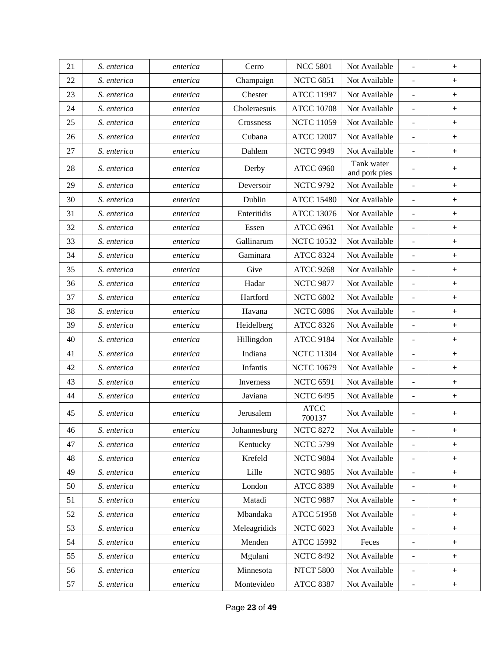| 21 | S. enterica | enterica | Cerro        | <b>NCC 5801</b>       | Not Available               | $\bar{\phantom{a}}$          | $\boldsymbol{+}$                 |
|----|-------------|----------|--------------|-----------------------|-----------------------------|------------------------------|----------------------------------|
| 22 | S. enterica | enterica | Champaign    | <b>NCTC 6851</b>      | Not Available               | $\frac{1}{2}$                | $+$                              |
| 23 | S. enterica | enterica | Chester      | <b>ATCC 11997</b>     | Not Available               | $\blacksquare$               | $\boldsymbol{+}$                 |
| 24 | S. enterica | enterica | Choleraesuis | <b>ATCC 10708</b>     | Not Available               | $\blacksquare$               | $\begin{array}{c} + \end{array}$ |
| 25 | S. enterica | enterica | Crossness    | <b>NCTC 11059</b>     | Not Available               | $\qquad \qquad \blacksquare$ | $\begin{array}{c} + \end{array}$ |
| 26 | S. enterica | enterica | Cubana       | <b>ATCC 12007</b>     | Not Available               | $\blacksquare$               | $\boldsymbol{+}$                 |
| 27 | S. enterica | enterica | Dahlem       | <b>NCTC 9949</b>      | Not Available               | $\blacksquare$               | $\, +$                           |
| 28 | S. enterica | enterica | Derby        | <b>ATCC 6960</b>      | Tank water<br>and pork pies | $\blacksquare$               | $\boldsymbol{+}$                 |
| 29 | S. enterica | enterica | Deversoir    | <b>NCTC 9792</b>      | Not Available               | $\blacksquare$               | $\boldsymbol{+}$                 |
| 30 | S. enterica | enterica | Dublin       | <b>ATCC 15480</b>     | Not Available               | ÷,                           | $\boldsymbol{+}$                 |
| 31 | S. enterica | enterica | Enteritidis  | <b>ATCC 13076</b>     | Not Available               | $\frac{1}{2}$                | $\begin{array}{c} + \end{array}$ |
| 32 | S. enterica | enterica | Essen        | <b>ATCC 6961</b>      | Not Available               | $\Box$                       | $\boldsymbol{+}$                 |
| 33 | S. enterica | enterica | Gallinarum   | <b>NCTC 10532</b>     | Not Available               | $\Box$                       | $\boldsymbol{+}$                 |
| 34 | S. enterica | enterica | Gaminara     | <b>ATCC 8324</b>      | Not Available               | $\blacksquare$               | $\begin{array}{c} + \end{array}$ |
| 35 | S. enterica | enterica | Give         | <b>ATCC 9268</b>      | Not Available               | $\overline{\phantom{a}}$     | $\boldsymbol{+}$                 |
| 36 | S. enterica | enterica | Hadar        | <b>NCTC 9877</b>      | Not Available               | ÷,                           | $\begin{array}{c} + \end{array}$ |
| 37 | S. enterica | enterica | Hartford     | <b>NCTC 6802</b>      | Not Available               | $\frac{1}{2}$                | $\begin{array}{c} + \end{array}$ |
| 38 | S. enterica | enterica | Havana       | <b>NCTC 6086</b>      | Not Available               | $\blacksquare$               | $\boldsymbol{+}$                 |
| 39 | S. enterica | enterica | Heidelberg   | <b>ATCC 8326</b>      | Not Available               | $\qquad \qquad \blacksquare$ | $\begin{array}{c} + \end{array}$ |
| 40 | S. enterica | enterica | Hillingdon   | <b>ATCC 9184</b>      | Not Available               | $\overline{\phantom{a}}$     | $\begin{array}{c} + \end{array}$ |
| 41 | S. enterica | enterica | Indiana      | <b>NCTC 11304</b>     | Not Available               | $\blacksquare$               | $\begin{array}{c} + \end{array}$ |
| 42 | S. enterica | enterica | Infantis     | <b>NCTC 10679</b>     | Not Available               | $\blacksquare$               | $\boldsymbol{+}$                 |
| 43 | S. enterica | enterica | Inverness    | <b>NCTC 6591</b>      | Not Available               | $\overline{\phantom{a}}$     | $\boldsymbol{+}$                 |
| 44 | S. enterica | enterica | Javiana      | <b>NCTC 6495</b>      | Not Available               | $\Box$                       | $\boldsymbol{+}$                 |
| 45 | S. enterica | enterica | Jerusalem    | <b>ATCC</b><br>700137 | Not Available               | $\blacksquare$               | $\ddot{}$                        |
| 46 | S. enterica | enterica | Johannesburg | <b>NCTC 8272</b>      | Not Available               | $\frac{1}{2}$                | $+$                              |
| 47 | S. enterica | enterica | Kentucky     | <b>NCTC 5799</b>      | Not Available               | $\blacksquare$               | $\begin{array}{c} + \end{array}$ |
| 48 | S. enterica | enterica | Krefeld      | <b>NCTC 9884</b>      | Not Available               | $\Box$                       | $\ddot{}$                        |
| 49 | S. enterica | enterica | Lille        | <b>NCTC 9885</b>      | Not Available               | $\overline{\phantom{a}}$     | $\begin{array}{c} + \end{array}$ |
| 50 | S. enterica | enterica | London       | <b>ATCC 8389</b>      | Not Available               | $\blacksquare$               | $+$                              |
| 51 | S. enterica | enterica | Matadi       | <b>NCTC 9887</b>      | Not Available               | $\blacksquare$               | $+$                              |
| 52 | S. enterica | enterica | Mbandaka     | <b>ATCC 51958</b>     | Not Available               | $\Box$                       | $\, +$                           |
| 53 | S. enterica | enterica | Meleagridids | <b>NCTC 6023</b>      | Not Available               | $\blacksquare$               | $+$                              |
| 54 | S. enterica | enterica | Menden       | <b>ATCC 15992</b>     | Feces                       | $\qquad \qquad \blacksquare$ | $\ddot{}$                        |
| 55 | S. enterica | enterica | Mgulani      | <b>NCTC 8492</b>      | Not Available               | $\blacksquare$               | $\begin{array}{c} + \end{array}$ |
| 56 | S. enterica | enterica | Minnesota    | <b>NTCT 5800</b>      | Not Available               | $\overline{\phantom{0}}$     | $\boldsymbol{+}$                 |
| 57 | S. enterica | enterica | Montevideo   | <b>ATCC 8387</b>      | Not Available               |                              | $+$                              |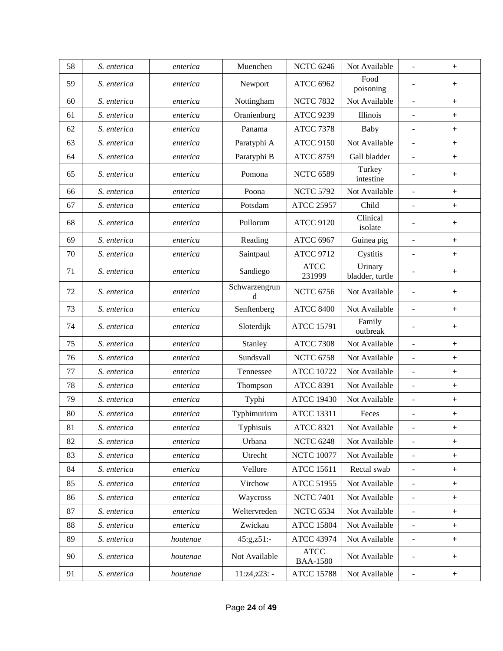| 58 | S. enterica | enterica | Muenchen           | <b>NCTC 6246</b>               | Not Available              | $\overline{\phantom{a}}$ | $+$              |
|----|-------------|----------|--------------------|--------------------------------|----------------------------|--------------------------|------------------|
| 59 | S. enterica | enterica | Newport            | <b>ATCC 6962</b>               | Food<br>poisoning          | $\overline{a}$           | $+$              |
| 60 | S. enterica | enterica | Nottingham         | <b>NCTC 7832</b>               | Not Available              | $\bar{\phantom{a}}$      | $+$              |
| 61 | S. enterica | enterica | Oranienburg        | <b>ATCC 9239</b>               | Illinois                   | $\overline{\phantom{a}}$ | $+$              |
| 62 | S. enterica | enterica | Panama             | <b>ATCC 7378</b>               | Baby                       | $\blacksquare$           | $+$              |
| 63 | S. enterica | enterica | Paratyphi A        | <b>ATCC 9150</b>               | Not Available              | $\overline{\phantom{a}}$ | $+$              |
| 64 | S. enterica | enterica | Paratyphi B        | <b>ATCC 8759</b>               | Gall bladder               | $\overline{a}$           | $+$              |
| 65 | S. enterica | enterica | Pomona             | <b>NCTC 6589</b>               | Turkey<br>intestine        |                          | $+$              |
| 66 | S. enterica | enterica | Poona              | <b>NCTC 5792</b>               | Not Available              | $\sim$                   | $+$              |
| 67 | S. enterica | enterica | Potsdam            | <b>ATCC 25957</b>              | Child                      | $\overline{a}$           | $+$              |
| 68 | S. enterica | enterica | Pullorum           | <b>ATCC 9120</b>               | Clinical<br>isolate        |                          | $+$              |
| 69 | S. enterica | enterica | Reading            | <b>ATCC 6967</b>               | Guinea pig                 | $\overline{\phantom{a}}$ | $\boldsymbol{+}$ |
| 70 | S. enterica | enterica | Saintpaul          | <b>ATCC 9712</b>               | Cystitis                   |                          | $+$              |
| 71 | S. enterica | enterica | Sandiego           | <b>ATCC</b><br>231999          | Urinary<br>bladder, turtle |                          | $+$              |
| 72 | S. enterica | enterica | Schwarzengrun<br>d | <b>NCTC 6756</b>               | Not Available              | $\overline{\phantom{a}}$ | $+$              |
| 73 | S. enterica | enterica | Senftenberg        | <b>ATCC 8400</b>               | Not Available              | $\overline{\phantom{a}}$ | $\boldsymbol{+}$ |
| 74 | S. enterica | enterica | Sloterdijk         | <b>ATCC 15791</b>              | Family<br>outbreak         |                          | $+$              |
| 75 | S. enterica | enterica | Stanley            | <b>ATCC 7308</b>               | Not Available              | $\overline{\phantom{a}}$ | $+$              |
| 76 | S. enterica | enterica | Sundsvall          | <b>NCTC 6758</b>               | Not Available              | $\blacksquare$           | $+$              |
| 77 | S. enterica | enterica | Tennessee          | <b>ATCC 10722</b>              | Not Available              | $\bar{\phantom{a}}$      | $+$              |
| 78 | S. enterica | enterica | Thompson           | <b>ATCC 8391</b>               | Not Available              | $\overline{\phantom{a}}$ | $+$              |
| 79 | S. enterica | enterica | Typhi              | <b>ATCC 19430</b>              | Not Available              | $\overline{\phantom{a}}$ | $+$              |
| 80 | S. enterica | enterica | Typhimurium        | <b>ATCC 13311</b>              | Feces                      | $\sim$                   | $+$              |
| 81 | S. enterica | enterica | Typhisuis          | <b>ATCC 8321</b>               | Not Available              |                          | +                |
| 82 | S. enterica | enterica | Urbana             | <b>NCTC 6248</b>               | Not Available              | $\blacksquare$           | $+$              |
| 83 | S. enterica | enterica | Utrecht            | <b>NCTC 10077</b>              | Not Available              | $\blacksquare$           | $^{+}$           |
| 84 | S. enterica | enterica | Vellore            | <b>ATCC 15611</b>              | Rectal swab                | $\blacksquare$           | $+$              |
| 85 | S. enterica | enterica | Virchow            | <b>ATCC 51955</b>              | Not Available              | $\overline{\phantom{a}}$ | $+$              |
| 86 | S. enterica | enterica | Waycross           | <b>NCTC 7401</b>               | Not Available              | $\overline{\phantom{a}}$ | $^{+}$           |
| 87 | S. enterica | enterica | Weltervreden       | <b>NCTC 6534</b>               | Not Available              | $\overline{\phantom{a}}$ | $+$              |
| 88 | S. enterica | enterica | Zwickau            | <b>ATCC 15804</b>              | Not Available              | $\blacksquare$           | $+$              |
| 89 | S. enterica | houtenae | $45:g,z51:-$       | <b>ATCC 43974</b>              | Not Available              | $\blacksquare$           | $+$              |
| 90 | S. enterica | houtenae | Not Available      | <b>ATCC</b><br><b>BAA-1580</b> | Not Available              | $\blacksquare$           | $+$              |
| 91 | S. enterica | houtenae | $11:z4, z23: -$    | <b>ATCC 15788</b>              | Not Available              | $\overline{\phantom{a}}$ | $+$              |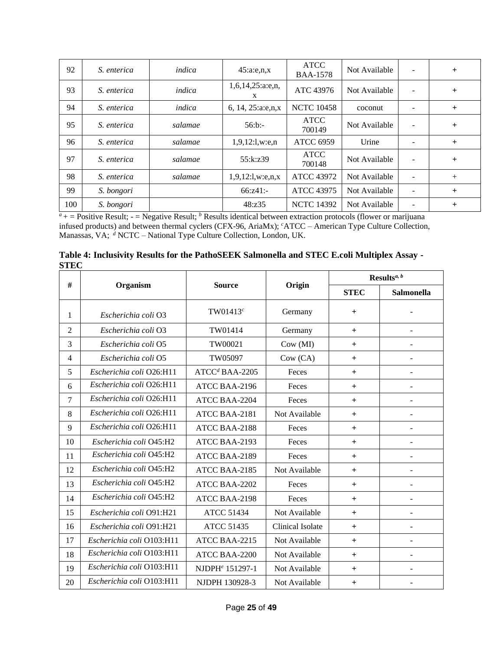| 92  | S. enterica | indica  | 45:a.e.,n,x                 | <b>ATCC</b><br><b>BAA-1578</b> | Not Available | $\overline{\phantom{a}}$ | $+$    |
|-----|-------------|---------|-----------------------------|--------------------------------|---------------|--------------------------|--------|
| 93  | S. enterica | indica  | $1,6,14,25$ : a: e, n,<br>X | ATC 43976                      | Not Available | $\overline{\phantom{a}}$ | $+$    |
| 94  | S. enterica | indica  | 6, 14, 25:a:e,n,x           | <b>NCTC 10458</b>              | coconut       |                          | $+$    |
| 95  | S. enterica | salamae | $56$ :b:-                   | <b>ATCC</b><br>700149          | Not Available | ٠                        | $+$    |
| 96  | S. enterica | salamae | 1,9,12:1,w.e, n             | <b>ATCC 6959</b>               | Urine         |                          | $+$    |
| 97  | S. enterica | salamae | 55:k:z39                    | <b>ATCC</b><br>700148          | Not Available | $\overline{\phantom{a}}$ | $+$    |
| 98  | S. enterica | salamae | $1,9,12$ :l,w:e,n,x         | <b>ATCC 43972</b>              | Not Available |                          | $+$    |
| 99  | S. bongori  |         | 66:z41:                     | <b>ATCC 43975</b>              | Not Available |                          | $^{+}$ |
| 100 | S. bongori  |         | 48:z35                      | <b>NCTC 14392</b>              | Not Available |                          | $^{+}$ |

 $a<sup>a</sup>$  + = Positive Result; - = Negative Result; <sup>*b*</sup> Results identical between extraction protocols (flower or marijuana infused products) and between thermal cyclers (CFX-96, AriaMx); *<sup>c</sup>*ATCC – American Type Culture Collection, Manassas, VA; *<sup>d</sup>* NCTC – National Type Culture Collection, London, UK.

|             | Table 4: Inclusivity Results for the PathoSEEK Salmonella and STEC E.coli Multiplex Assay - |  |
|-------------|---------------------------------------------------------------------------------------------|--|
| <b>STEC</b> |                                                                                             |  |

|                |                           |                             |                  | Results <sup><i>a</i>, <i>b</i></sup> |                          |  |
|----------------|---------------------------|-----------------------------|------------------|---------------------------------------|--------------------------|--|
| #              | Organism                  | <b>Source</b>               | Origin           | <b>STEC</b>                           | Salmonella               |  |
| 1              | Escherichia coli O3       | $TW01413^c$                 | Germany          | $+$                                   |                          |  |
| $\overline{2}$ | Escherichia coli O3       | TW01414                     | Germany          | $+$                                   | $\overline{\phantom{a}}$ |  |
| 3              | Escherichia coli O5       | TW00021                     | Cow (MI)         | $+$                                   | $\blacksquare$           |  |
| $\overline{4}$ | Escherichia coli O5       | TW05097                     | Cow (CA)         | $+$                                   | $\blacksquare$           |  |
| 5              | Escherichia coli Q26:H11  | $ATCCd BAA-2205$            | Feces            | $+$                                   | $\overline{\phantom{a}}$ |  |
| 6              | Escherichia coli O26:H11  | ATCC BAA-2196               | Feces            | $+$                                   | $\blacksquare$           |  |
| 7              | Escherichia coli O26:H11  | ATCC BAA-2204               | Feces            | $+$                                   | $\blacksquare$           |  |
| 8              | Escherichia coli O26:H11  | ATCC BAA-2181               | Not Available    | $+$                                   | $\overline{\phantom{a}}$ |  |
| 9              | Escherichia coli O26:H11  | ATCC BAA-2188               | Feces            | $+$                                   | $\overline{\phantom{a}}$ |  |
| 10             | Escherichia coli O45:H2   | ATCC BAA-2193               | Feces            | $+$                                   | $\overline{\phantom{a}}$ |  |
| 11             | Escherichia coli O45:H2   | ATCC BAA-2189               | Feces            | $+$                                   | $\overline{\phantom{a}}$ |  |
| 12             | Escherichia coli O45:H2   | ATCC BAA-2185               | Not Available    | $+$                                   |                          |  |
| 13             | Escherichia coli O45:H2   | ATCC BAA-2202               | Feces            | $+$                                   | $\overline{\phantom{a}}$ |  |
| 14             | Escherichia coli O45:H2   | ATCC BAA-2198               | Feces            | $+$                                   | $\overline{\phantom{a}}$ |  |
| 15             | Escherichia coli O91:H21  | <b>ATCC 51434</b>           | Not Available    | $+$                                   |                          |  |
| 16             | Escherichia coli O91:H21  | <b>ATCC 51435</b>           | Clinical Isolate | $+$                                   | $\overline{\phantom{a}}$ |  |
| 17             | Escherichia coli O103:H11 | ATCC BAA-2215               | Not Available    | $+$                                   | $\blacksquare$           |  |
| 18             | Escherichia coli O103:H11 | ATCC BAA-2200               | Not Available    | $+$                                   |                          |  |
| 19             | Escherichia coli O103:H11 | NJDPH <sup>e</sup> 151297-1 | Not Available    | $+$                                   | $\overline{\phantom{a}}$ |  |
| 20             | Escherichia coli O103:H11 | NJDPH 130928-3              | Not Available    | $+$                                   | $\overline{\phantom{a}}$ |  |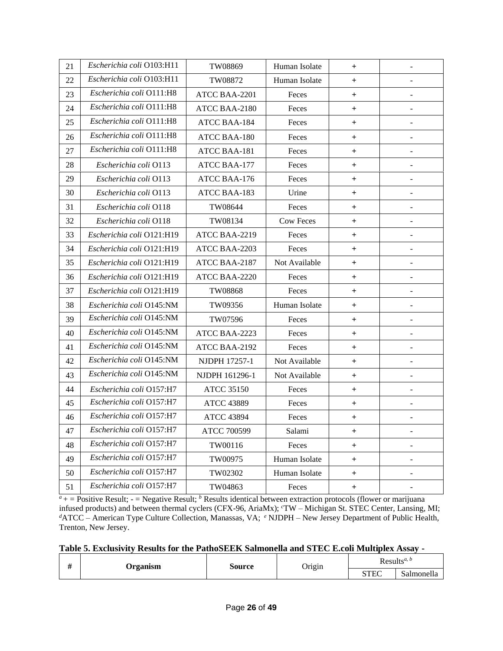| 21 | Escherichia coli O103:H11 | TW08869              | Human Isolate    | $\ddot{}$    | $\overline{a}$           |
|----|---------------------------|----------------------|------------------|--------------|--------------------------|
| 22 | Escherichia coli O103:H11 | TW08872              | Human Isolate    | $\ddot{}$    | $\overline{\phantom{a}}$ |
| 23 | Escherichia coli O111:H8  | <b>ATCC BAA-2201</b> | Feces            | $\ddot{}$    |                          |
| 24 | Escherichia coli O111:H8  | ATCC BAA-2180        | Feces            | $\ddot{}$    | $\overline{\phantom{a}}$ |
| 25 | Escherichia coli O111:H8  | <b>ATCC BAA-184</b>  | Feces            | $\ddot{}$    | ÷                        |
| 26 | Escherichia coli O111:H8  | <b>ATCC BAA-180</b>  | Feces            | $\ddot{}$    |                          |
| 27 | Escherichia coli O111:H8  | <b>ATCC BAA-181</b>  | Feces            | $\ddot{}$    |                          |
| 28 | Escherichia coli O113     | <b>ATCC BAA-177</b>  | Feces            | $\ddot{}$    |                          |
| 29 | Escherichia coli O113     | ATCC BAA-176         | Feces            | $\ddot{}$    | $\overline{\phantom{a}}$ |
| 30 | Escherichia coli O113     | ATCC BAA-183         | Urine            | $+$          |                          |
| 31 | Escherichia coli O118     | TW08644              | Feces            | $+$          | $\overline{\phantom{0}}$ |
| 32 | Escherichia coli O118     | TW08134              | <b>Cow Feces</b> | $\ddot{}$    |                          |
| 33 | Escherichia coli O121:H19 | ATCC BAA-2219        | Feces            | $\ddot{}$    |                          |
| 34 | Escherichia coli O121:H19 | ATCC BAA-2203        | Feces            | $\ddot{}$    |                          |
| 35 | Escherichia coli O121:H19 | ATCC BAA-2187        | Not Available    | $\mathrm{+}$ |                          |
| 36 | Escherichia coli O121:H19 | ATCC BAA-2220        | Feces            | $\ddot{}$    | -                        |
| 37 | Escherichia coli O121:H19 | TW08868              | Feces            | $\ddot{}$    |                          |
| 38 | Escherichia coli O145:NM  | TW09356              | Human Isolate    | $\ddot{}$    | $\overline{a}$           |
| 39 | Escherichia coli O145:NM  | TW07596              | Feces            | $\ddot{}$    |                          |
| 40 | Escherichia coli O145:NM  | ATCC BAA-2223        | Feces            | $\ddot{}$    | $\frac{1}{2}$            |
| 41 | Escherichia coli O145:NM  | ATCC BAA-2192        | Feces            | $\ddot{}$    | $\overline{a}$           |
| 42 | Escherichia coli O145:NM  | NJDPH 17257-1        | Not Available    | $\ddot{}$    |                          |
| 43 | Escherichia coli O145:NM  | NJDPH 161296-1       | Not Available    | $\ddot{}$    | $\frac{1}{2}$            |
| 44 | Escherichia coli Q157:H7  | <b>ATCC 35150</b>    | Feces            | $\ddot{}$    | $\overline{a}$           |
| 45 | Escherichia coli O157:H7  | <b>ATCC 43889</b>    | Feces            | $\ddot{}$    | $\overline{a}$           |
| 46 | Escherichia coli O157:H7  | <b>ATCC 43894</b>    | Feces            | $\ddot{}$    |                          |
| 47 | Escherichia coli O157:H7  | ATCC 700599          | Salami           | $\pm$        |                          |
| 48 | Escherichia coli O157:H7  | TW00116              | Feces            | $+$          |                          |
| 49 | Escherichia coli O157:H7  | TW00975              | Human Isolate    | $+$          | $\overline{\phantom{0}}$ |
| 50 | Escherichia coli O157:H7  | TW02302              | Human Isolate    | $+$          |                          |
| 51 | Escherichia coli O157:H7  | TW04863              | Feces            | $+$          | $\overline{\phantom{0}}$ |

 $a<sub>+</sub>$  = Positive Result; - = Negative Result; <sup>*b*</sup> Results identical between extraction protocols (flower or marijuana infused products) and between thermal cyclers (CFX-96, AriaMx); *<sup>c</sup>*TW – Michigan St. STEC Center, Lansing, MI; *<sup>d</sup>*ATCC – American Type Culture Collection, Manassas, VA; *<sup>e</sup>* NJDPH – New Jersey Department of Public Health, Trenton, New Jersey.

|  |  | Table 5. Exclusivity Results for the PathoSEEK Salmonella and STEC E.coli Multiplex Assay - |
|--|--|---------------------------------------------------------------------------------------------|
|  |  |                                                                                             |

| $\cdot$ | <b><i><u>rganism</u></i></b> | source |        | Results <sup><i>a</i>, <i>b</i></sup> |                                      |
|---------|------------------------------|--------|--------|---------------------------------------|--------------------------------------|
|         | ------                       |        | Origin | STEC                                  | $\mathbf{A}$<br>$\sim$<br>Salmonella |

 $\overline{\phantom{0}}$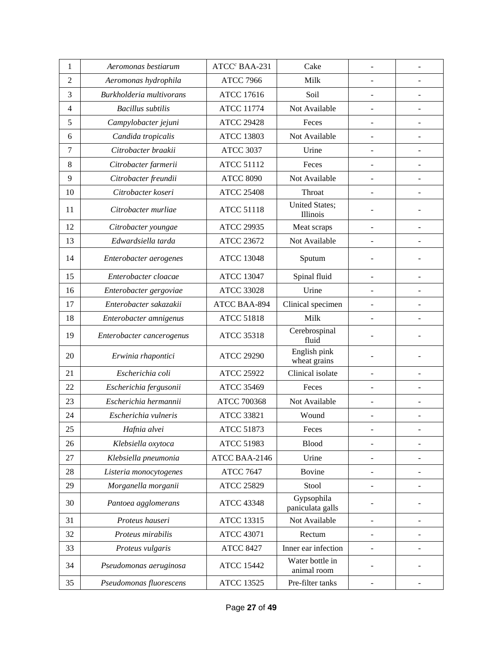| $\mathbf{1}$   | Aeromonas bestiarum       | ATCC <sup>c</sup> BAA-231 | Cake                              |                          |                              |
|----------------|---------------------------|---------------------------|-----------------------------------|--------------------------|------------------------------|
| $\overline{2}$ | Aeromonas hydrophila      | <b>ATCC 7966</b>          | Milk                              | -                        |                              |
| 3              | Burkholderia multivorans  | <b>ATCC 17616</b>         | Soil                              |                          |                              |
| 4              | <b>Bacillus</b> subtilis  | <b>ATCC 11774</b>         | Not Available                     | $\overline{\phantom{a}}$ |                              |
| 5              | Campylobacter jejuni      | <b>ATCC 29428</b>         | Feces                             |                          |                              |
| 6              | Candida tropicalis        | <b>ATCC 13803</b>         | Not Available                     |                          |                              |
| 7              | Citrobacter braakii       | <b>ATCC 3037</b>          | Urine                             | $\blacksquare$           |                              |
| 8              | Citrobacter farmerii      | <b>ATCC 51112</b>         | Feces                             | $\overline{\phantom{0}}$ | $\overline{\phantom{m}}$     |
| 9              | Citrobacter freundii      | <b>ATCC 8090</b>          | Not Available                     | $\blacksquare$           | $\overline{\phantom{a}}$     |
| 10             | Citrobacter koseri        | <b>ATCC 25408</b>         | Throat                            | $\overline{a}$           |                              |
| 11             | Citrobacter murliae       | <b>ATCC 51118</b>         | <b>United States;</b><br>Illinois |                          |                              |
| 12             | Citrobacter youngae       | <b>ATCC 29935</b>         | Meat scraps                       | $\blacksquare$           | $\overline{a}$               |
| 13             | Edwardsiella tarda        | <b>ATCC 23672</b>         | Not Available                     |                          |                              |
| 14             | Enterobacter aerogenes    | <b>ATCC 13048</b>         | Sputum                            |                          |                              |
| 15             | Enterobacter cloacae      | <b>ATCC 13047</b>         | Spinal fluid                      | $\blacksquare$           |                              |
| 16             | Enterobacter gergoviae    | <b>ATCC 33028</b>         | Urine                             |                          |                              |
| 17             | Enterobacter sakazakii    | ATCC BAA-894              | Clinical specimen                 |                          |                              |
| 18             | Enterobacter amnigenus    | <b>ATCC 51818</b>         | Milk                              |                          |                              |
| 19             | Enterobacter cancerogenus | <b>ATCC 35318</b>         | Cerebrospinal<br>fluid            | $\overline{\phantom{0}}$ | Ĭ.                           |
| 20             | Erwinia rhapontici        | <b>ATCC 29290</b>         | English pink<br>wheat grains      | ÷,                       |                              |
| 21             | Escherichia coli          | <b>ATCC 25922</b>         | Clinical isolate                  | $\overline{a}$           |                              |
| 22             | Escherichia fergusonii    | <b>ATCC 35469</b>         | Feces                             | ÷,                       |                              |
| 23             | Escherichia hermannii     | ATCC 700368               | Not Available                     |                          |                              |
| 24             | Escherichia vulneris      | <b>ATCC 33821</b>         | Wound                             | $\overline{\phantom{a}}$ |                              |
| 25             | Hafnia alvei              | ATCC 51873                | Feces                             | -                        | $\overline{\phantom{a}}$     |
| 26             | Klebsiella oxytoca        | <b>ATCC 51983</b>         | <b>Blood</b>                      |                          |                              |
| 27             | Klebsiella pneumonia      | ATCC BAA-2146             | Urine                             |                          |                              |
| 28             | Listeria monocytogenes    | <b>ATCC 7647</b>          | Bovine                            |                          |                              |
| 29             | Morganella morganii       | <b>ATCC 25829</b>         | Stool                             |                          |                              |
| 30             | Pantoea agglomerans       | <b>ATCC 43348</b>         | Gypsophila<br>paniculata galls    |                          |                              |
| 31             | Proteus hauseri           | <b>ATCC 13315</b>         | Not Available                     | $\overline{a}$           | $\overline{a}$               |
| 32             | Proteus mirabilis         | <b>ATCC 43071</b>         | Rectum                            |                          |                              |
| 33             | Proteus vulgaris          | <b>ATCC 8427</b>          | Inner ear infection               | $\overline{a}$           | $\overline{\phantom{0}}$     |
| 34             | Pseudomonas aeruginosa    | <b>ATCC 15442</b>         | Water bottle in<br>animal room    |                          |                              |
| 35             | Pseudomonas fluorescens   | <b>ATCC 13525</b>         | Pre-filter tanks                  | $\overline{\phantom{0}}$ | $\qquad \qquad \blacksquare$ |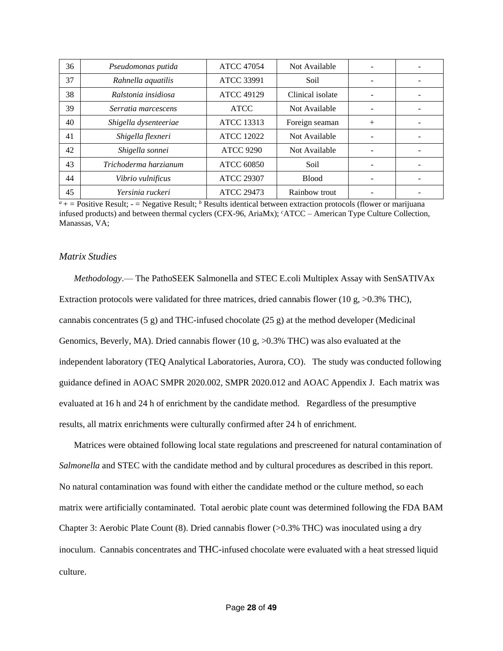| 36 | Pseudomonas putida    | <b>ATCC 47054</b> | Not Available    |     |  |
|----|-----------------------|-------------------|------------------|-----|--|
| 37 | Rahnella aquatilis    | <b>ATCC 33991</b> | Soil             |     |  |
| 38 | Ralstonia insidiosa   | <b>ATCC 49129</b> | Clinical isolate |     |  |
| 39 | Serratia marcescens   | <b>ATCC</b>       | Not Available    |     |  |
| 40 | Shigella dysenteeriae | <b>ATCC 13313</b> | Foreign seaman   | $+$ |  |
| 41 | Shigella flexneri     | <b>ATCC 12022</b> | Not Available    |     |  |
| 42 | Shigella sonnei       | <b>ATCC 9290</b>  | Not Available    |     |  |
| 43 | Trichoderma harzianum | <b>ATCC 60850</b> | Soil             |     |  |
| 44 | Vibrio vulnificus     | <b>ATCC 29307</b> | <b>Blood</b>     |     |  |
| 45 | Yersinia ruckeri      | <b>ATCC 29473</b> | Rainbow trout    |     |  |

 $a^4$  + = Positive Result; - = Negative Result; <sup>*b*</sup> Results identical between extraction protocols (flower or marijuana infused products) and between thermal cyclers (CFX-96, AriaMx); *<sup>c</sup>*ATCC – American Type Culture Collection, Manassas, VA;

#### *Matrix Studies*

*Methodology*.— The PathoSEEK Salmonella and STEC E.coli Multiplex Assay with SenSATIVAx Extraction protocols were validated for three matrices, dried cannabis flower (10 g,  $>0.3\%$  THC), cannabis concentrates  $(5 g)$  and THC-infused chocolate  $(25 g)$  at the method developer (Medicinal Genomics, Beverly, MA). Dried cannabis flower (10 g,  $>0.3\%$  THC) was also evaluated at the independent laboratory (TEQ Analytical Laboratories, Aurora, CO). The study was conducted following guidance defined in AOAC SMPR 2020.002, SMPR 2020.012 and AOAC Appendix J. Each matrix was evaluated at 16 h and 24 h of enrichment by the candidate method. Regardless of the presumptive results, all matrix enrichments were culturally confirmed after 24 h of enrichment.

Matrices were obtained following local state regulations and prescreened for natural contamination of *Salmonella* and STEC with the candidate method and by cultural procedures as described in this report. No natural contamination was found with either the candidate method or the culture method, so each matrix were artificially contaminated. Total aerobic plate count was determined following the FDA BAM Chapter 3: Aerobic Plate Count (8). Dried cannabis flower (>0.3% THC) was inoculated using a dry inoculum. Cannabis concentrates and THC-infused chocolate were evaluated with a heat stressed liquid culture.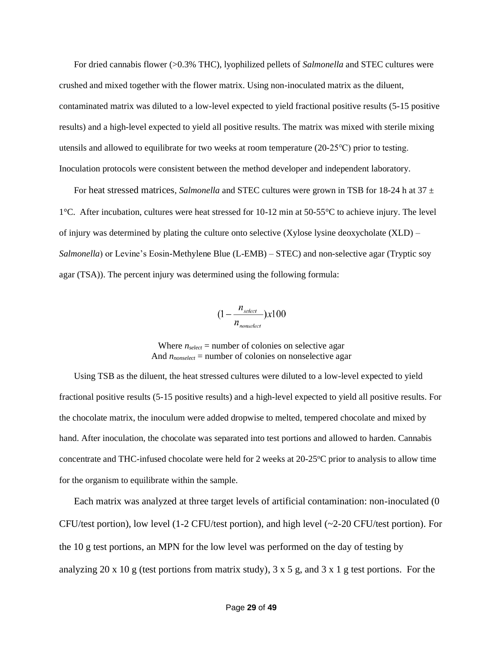For dried cannabis flower (>0.3% THC), lyophilized pellets of *Salmonella* and STEC cultures were crushed and mixed together with the flower matrix. Using non-inoculated matrix as the diluent, contaminated matrix was diluted to a low-level expected to yield fractional positive results (5-15 positive results) and a high-level expected to yield all positive results. The matrix was mixed with sterile mixing utensils and allowed to equilibrate for two weeks at room temperature (20-25℃) prior to testing. Inoculation protocols were consistent between the method developer and independent laboratory.

For heat stressed matrices, *Salmonella* and STEC cultures were grown in TSB for 18-24 h at 37  $\pm$ 1°C. After incubation, cultures were heat stressed for 10-12 min at 50-55°C to achieve injury. The level of injury was determined by plating the culture onto selective  $(Xy\text{lose lysine deoxycholate } (XLD) -$ *Salmonella*) or Levine's Eosin-Methylene Blue (L-EMB) – STEC) and non-selective agar (Tryptic soy agar (TSA)). The percent injury was determined using the following formula:

$$
(1 - \frac{n_{select}}{n_{nonselect}}) \times 100
$$

Where  $n_{select}$  = number of colonies on selective agar And  $n_{nonselect}$  = number of colonies on nonselective agar

Using TSB as the diluent, the heat stressed cultures were diluted to a low-level expected to yield fractional positive results (5-15 positive results) and a high-level expected to yield all positive results. For the chocolate matrix, the inoculum were added dropwise to melted, tempered chocolate and mixed by hand. After inoculation, the chocolate was separated into test portions and allowed to harden. Cannabis concentrate and THC-infused chocolate were held for 2 weeks at  $20-25^{\circ}$ C prior to analysis to allow time for the organism to equilibrate within the sample.

Each matrix was analyzed at three target levels of artificial contamination: non-inoculated (0 CFU/test portion), low level (1-2 CFU/test portion), and high level (~2-20 CFU/test portion). For the 10 g test portions, an MPN for the low level was performed on the day of testing by analyzing 20 x 10 g (test portions from matrix study), 3 x 5 g, and 3 x 1 g test portions. For the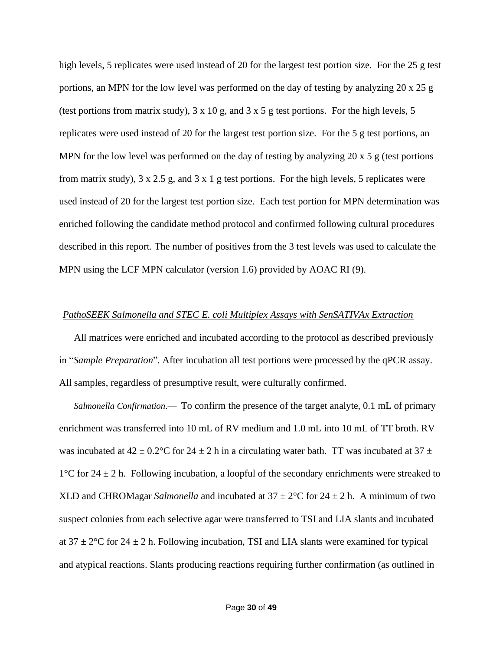high levels, 5 replicates were used instead of 20 for the largest test portion size. For the 25 g test portions, an MPN for the low level was performed on the day of testing by analyzing 20 x 25 g (test portions from matrix study),  $3 \times 10$  g, and  $3 \times 5$  g test portions. For the high levels, 5 replicates were used instead of 20 for the largest test portion size. For the 5 g test portions, an MPN for the low level was performed on the day of testing by analyzing 20 x 5 g (test portions from matrix study),  $3 \times 2.5$  g, and  $3 \times 1$  g test portions. For the high levels, 5 replicates were used instead of 20 for the largest test portion size. Each test portion for MPN determination was enriched following the candidate method protocol and confirmed following cultural procedures described in this report. The number of positives from the 3 test levels was used to calculate the MPN using the LCF MPN calculator (version 1.6) provided by AOAC RI (9).

#### *PathoSEEK Salmonella and STEC E. coli Multiplex Assays with SenSATIVAx Extraction*

All matrices were enriched and incubated according to the protocol as described previously in "*Sample Preparation*"*.* After incubation all test portions were processed by the qPCR assay. All samples, regardless of presumptive result, were culturally confirmed.

*Salmonella Confirmation*.— To confirm the presence of the target analyte, 0.1 mL of primary enrichment was transferred into 10 mL of RV medium and 1.0 mL into 10 mL of TT broth. RV was incubated at  $42 \pm 0.2$ °C for  $24 \pm 2$  h in a circulating water bath. TT was incubated at  $37 \pm$  $1^{\circ}$ C for 24  $\pm$  2 h. Following incubation, a loopful of the secondary enrichments were streaked to XLD and CHROMagar *Salmonella* and incubated at  $37 \pm 2^{\circ}$ C for  $24 \pm 2$  h. A minimum of two suspect colonies from each selective agar were transferred to TSI and LIA slants and incubated at  $37 \pm 2^{\circ}$ C for  $24 \pm 2$  h. Following incubation, TSI and LIA slants were examined for typical and atypical reactions. Slants producing reactions requiring further confirmation (as outlined in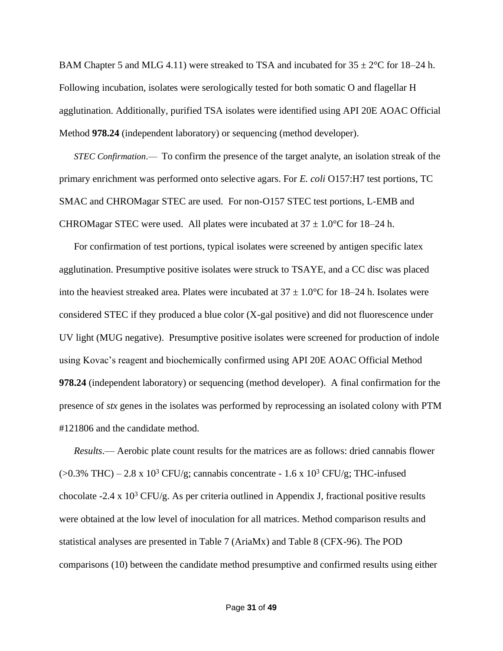BAM Chapter 5 and MLG 4.11) were streaked to TSA and incubated for  $35 \pm 2^{\circ}$ C for 18–24 h. Following incubation, isolates were serologically tested for both somatic O and flagellar H agglutination. Additionally, purified TSA isolates were identified using API 20E AOAC Official Method **978.24** (independent laboratory) or sequencing (method developer).

*STEC Confirmation*.— To confirm the presence of the target analyte, an isolation streak of the primary enrichment was performed onto selective agars. For *E. coli* O157:H7 test portions, TC SMAC and CHROMagar STEC are used. For non-O157 STEC test portions, L-EMB and CHROMagar STEC were used. All plates were incubated at  $37 \pm 1.0^{\circ}$ C for 18–24 h.

For confirmation of test portions, typical isolates were screened by antigen specific latex agglutination. Presumptive positive isolates were struck to TSAYE, and a CC disc was placed into the heaviest streaked area. Plates were incubated at  $37 \pm 1.0$ °C for 18–24 h. Isolates were considered STEC if they produced a blue color (X-gal positive) and did not fluorescence under UV light (MUG negative). Presumptive positive isolates were screened for production of indole using Kovac's reagent and biochemically confirmed using API 20E AOAC Official Method **978.24** (independent laboratory) or sequencing (method developer). A final confirmation for the presence of *stx* genes in the isolates was performed by reprocessing an isolated colony with PTM #121806 and the candidate method.

*Results*.— Aerobic plate count results for the matrices are as follows: dried cannabis flower  $(>0.3\%$  THC) – 2.8 x 10<sup>3</sup> CFU/g; cannabis concentrate - 1.6 x 10<sup>3</sup> CFU/g; THC-infused chocolate -2.4 x  $10^3$  CFU/g. As per criteria outlined in Appendix J, fractional positive results were obtained at the low level of inoculation for all matrices. Method comparison results and statistical analyses are presented in Table 7 (AriaMx) and Table 8 (CFX-96). The POD comparisons (10) between the candidate method presumptive and confirmed results using either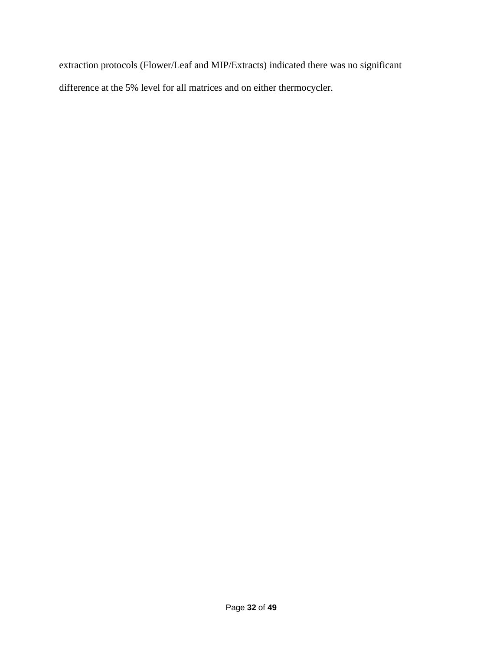extraction protocols (Flower/Leaf and MIP/Extracts) indicated there was no significant difference at the 5% level for all matrices and on either thermocycler.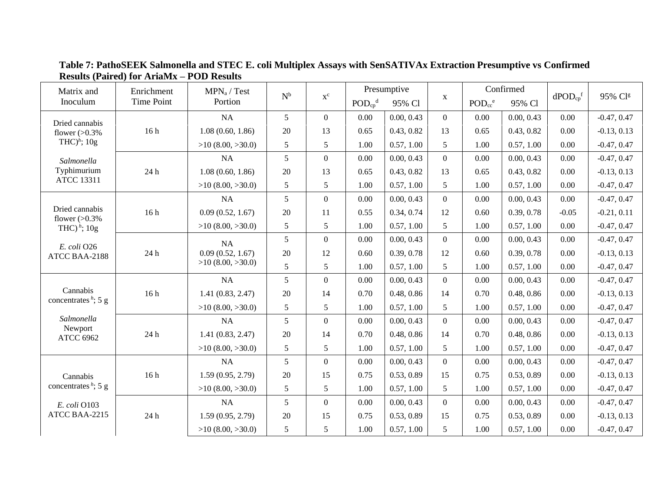| Matrix and                         | Enrichment                  | MPN <sub>a</sub> / Test | $\mathrm{N}^{\rm b}$ | $\mathbf{x}^{\rm c}$ |                                     | Presumptive |                | Confirmed                           |            | $dPOD_{cp}$ <sup>f</sup> | 95% Clg       |
|------------------------------------|-----------------------------|-------------------------|----------------------|----------------------|-------------------------------------|-------------|----------------|-------------------------------------|------------|--------------------------|---------------|
| Inoculum                           | <b>Time Point</b>           | Portion                 |                      |                      | $\text{POD}_{\text{cp}}^{\text{d}}$ | 95% Cl      | $\mathbf X$    | $\text{POD}_{\text{cc}}^{\text{e}}$ | 95% Cl     |                          |               |
| Dried cannabis                     |                             | NA                      | 5                    | $\overline{0}$       | 0.00                                | 0.00, 0.43  | $\overline{0}$ | 0.00                                | 0.00, 0.43 | 0.00                     | $-0.47, 0.47$ |
| flower $(>0.3\%$                   | 16h                         | 1.08(0.60, 1.86)        | 20                   | 13                   | 0.65                                | 0.43, 0.82  | 13             | 0.65                                | 0.43, 0.82 | 0.00                     | $-0.13, 0.13$ |
| THC $)$ <sup>h</sup> ; 10g         |                             | $>10$ (8.00, $>30.0$ )  | 5                    | 5                    | 1.00                                | 0.57, 1.00  | 5              | 1.00                                | 0.57, 1.00 | 0.00                     | $-0.47, 0.47$ |
| Salmonella                         |                             | NA                      | 5                    | $\overline{0}$       | 0.00                                | 0.00, 0.43  | $\overline{0}$ | 0.00                                | 0.00, 0.43 | 0.00                     | $-0.47, 0.47$ |
| Typhimurium                        | 24 h                        | 1.08(0.60, 1.86)        | $20\,$               | 13                   | 0.65                                | 0.43, 0.82  | 13             | 0.65                                | 0.43, 0.82 | 0.00                     | $-0.13, 0.13$ |
| <b>ATCC 13311</b>                  |                             | $>10$ (8.00, $>30.0$ )  | 5                    | 5                    | 1.00                                | 0.57, 1.00  | 5              | 1.00                                | 0.57, 1.00 | 0.00                     | $-0.47, 0.47$ |
|                                    |                             | NA                      | 5                    | $\mathbf{0}$         | 0.00                                | 0.00, 0.43  | $\overline{0}$ | 0.00                                | 0.00, 0.43 | 0.00                     | $-0.47, 0.47$ |
| Dried cannabis<br>flower $(>0.3\%$ | 16h                         | 0.09(0.52, 1.67)        | 20                   | 11                   | 0.55                                | 0.34, 0.74  | 12             | 0.60                                | 0.39, 0.78 | $-0.05$                  | $-0.21, 0.11$ |
| THC) $^h$ ; 10g                    |                             | $>10$ (8.00, $>30.0$ )  | 5                    | 5                    | 1.00                                | 0.57, 1.00  | 5              | 1.00                                | 0.57, 1.00 | 0.00                     | $-0.47, 0.47$ |
|                                    |                             | <b>NA</b>               | 5                    | $\mathbf{0}$         | 0.00                                | 0.00, 0.43  | $\overline{0}$ | 0.00                                | 0.00, 0.43 | 0.00                     | $-0.47, 0.47$ |
| E. coli O26<br>ATCC BAA-2188       | $24\ \mathrm{h}$            | 0.09(0.52, 1.67)        | 20                   | 12                   | 0.60                                | 0.39, 0.78  | 12             | 0.60                                | 0.39, 0.78 | 0.00                     | $-0.13, 0.13$ |
|                                    |                             | $>10$ (8.00, $>30.0$ )  | 5                    | 5                    | 1.00                                | 0.57, 1.00  | 5              | 1.00                                | 0.57, 1.00 | 0.00                     | $-0.47, 0.47$ |
|                                    |                             | NA                      | 5                    | $\overline{0}$       | 0.00                                | 0.00, 0.43  | $\overline{0}$ | 0.00                                | 0.00, 0.43 | 0.00                     | $-0.47, 0.47$ |
| Cannabis<br>concentrates $h$ ; 5 g | 16h                         | 1.41(0.83, 2.47)        | $20\,$               | 14                   | 0.70                                | 0.48, 0.86  | 14             | 0.70                                | 0.48, 0.86 | 0.00                     | $-0.13, 0.13$ |
|                                    |                             | $>10$ (8.00, $>30.0$ )  | 5                    | 5                    | 1.00                                | 0.57, 1.00  | 5              | 1.00                                | 0.57, 1.00 | 0.00                     | $-0.47, 0.47$ |
| Salmonella                         |                             | NA                      | 5                    | $\mathbf{0}$         | 0.00                                | 0.00, 0.43  | $\overline{0}$ | 0.00                                | 0.00, 0.43 | 0.00                     | $-0.47, 0.47$ |
| Newport<br><b>ATCC 6962</b>        | $24\,\ensuremath{\hbox{h}}$ | 1.41(0.83, 2.47)        | $20\,$               | 14                   | 0.70                                | 0.48, 0.86  | 14             | 0.70                                | 0.48, 0.86 | 0.00                     | $-0.13, 0.13$ |
|                                    |                             | $>10$ (8.00, $>30.0$ )  | 5                    | 5                    | 1.00                                | 0.57, 1.00  | 5              | 1.00                                | 0.57, 1.00 | 0.00                     | $-0.47, 0.47$ |
|                                    |                             | NA                      | 5                    | $\overline{0}$       | 0.00                                | 0.00, 0.43  | $\overline{0}$ | 0.00                                | 0.00, 0.43 | 0.00                     | $-0.47, 0.47$ |
| Cannabis                           | 16h                         | 1.59(0.95, 2.79)        | 20                   | 15                   | 0.75                                | 0.53, 0.89  | 15             | 0.75                                | 0.53, 0.89 | 0.00                     | $-0.13, 0.13$ |
| concentrates $h$ ; 5 g             |                             | $>10$ (8.00, $>30.0$ )  | 5                    | 5                    | 1.00                                | 0.57, 1.00  | 5              | 1.00                                | 0.57, 1.00 | 0.00                     | $-0.47, 0.47$ |
| E. coli O103                       |                             | NA                      | 5                    | $\overline{0}$       | 0.00                                | 0.00, 0.43  | $\overline{0}$ | 0.00                                | 0.00, 0.43 | 0.00                     | $-0.47, 0.47$ |
| ATCC BAA-2215                      | 24 h                        | 1.59(0.95, 2.79)        | $20\,$               | 15                   | 0.75                                | 0.53, 0.89  | 15             | 0.75                                | 0.53, 0.89 | 0.00                     | $-0.13, 0.13$ |
|                                    |                             | $>10$ (8.00, $>30.0$ )  | 5                    | 5                    | 1.00                                | 0.57, 1.00  | 5              | 1.00                                | 0.57, 1.00 | 0.00                     | $-0.47, 0.47$ |

**Table 7: PathoSEEK Salmonella and STEC E. coli Multiplex Assays with SenSATIVAx Extraction Presumptive vs Confirmed Results (Paired) for AriaMx – POD Results**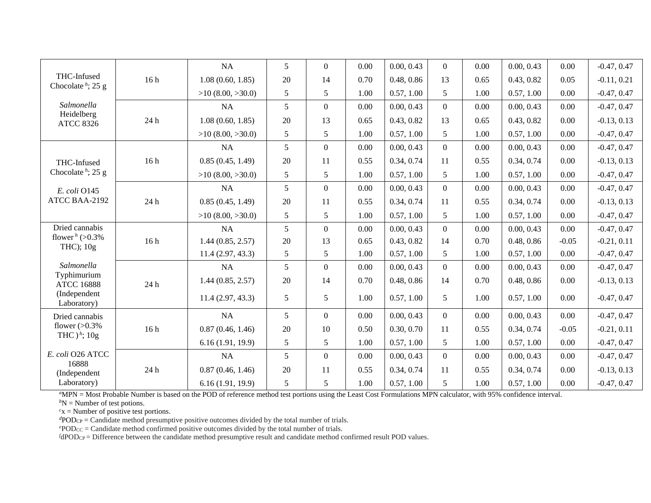|                                          |      | <b>NA</b>              | $\overline{5}$ | $\overline{0}$ | 0.00 | 0.00, 0.43 | $\overline{0}$   | 0.00 | 0.00, 0.43 | 0.00    | $-0.47, 0.47$ |
|------------------------------------------|------|------------------------|----------------|----------------|------|------------|------------------|------|------------|---------|---------------|
| THC-Infused<br>Chocolate $h$ ; 25 g      | 16h  | 1.08(0.60, 1.85)       | 20             | 14             | 0.70 | 0.48, 0.86 | 13               | 0.65 | 0.43, 0.82 | 0.05    | $-0.11, 0.21$ |
|                                          |      | $>10$ (8.00, $>30.0$ ) | 5              | 5              | 1.00 | 0.57, 1.00 | 5                | 1.00 | 0.57, 1.00 | 0.00    | $-0.47, 0.47$ |
| Salmonella                               |      | <b>NA</b>              | 5              | $\mathbf{0}$   | 0.00 | 0.00, 0.43 | $\overline{0}$   | 0.00 | 0.00, 0.43 | 0.00    | $-0.47, 0.47$ |
| Heidelberg<br><b>ATCC 8326</b>           | 24 h | 1.08(0.60, 1.85)       | $20\,$         | 13             | 0.65 | 0.43, 0.82 | 13               | 0.65 | 0.43, 0.82 | 0.00    | $-0.13, 0.13$ |
|                                          |      | $>10$ (8.00, $>30.0$ ) | $\mathfrak{S}$ | 5              | 1.00 | 0.57, 1.00 | 5                | 1.00 | 0.57, 1.00 | 0.00    | $-0.47, 0.47$ |
|                                          |      | <b>NA</b>              | 5              | $\overline{0}$ | 0.00 | 0.00, 0.43 | $\mathbf{0}$     | 0.00 | 0.00, 0.43 | 0.00    | $-0.47, 0.47$ |
| THC-Infused                              | 16h  | 0.85(0.45, 1.49)       | $20\,$         | 11             | 0.55 | 0.34, 0.74 | 11               | 0.55 | 0.34, 0.74 | 0.00    | $-0.13, 0.13$ |
| Chocolate $h$ ; 25 g                     |      | $>10$ (8.00, $>30.0$ ) | $\mathfrak{S}$ | 5              | 1.00 | 0.57, 1.00 | 5                | 1.00 | 0.57, 1.00 | 0.00    | $-0.47, 0.47$ |
| E. coli O145                             |      | <b>NA</b>              | 5              | $\overline{0}$ | 0.00 | 0.00, 0.43 | $\mathbf{0}$     | 0.00 | 0.00, 0.43 | 0.00    | $-0.47, 0.47$ |
| ATCC BAA-2192                            | 24 h | 0.85(0.45, 1.49)       | $20\,$         | 11             | 0.55 | 0.34, 0.74 | 11               | 0.55 | 0.34, 0.74 | 0.00    | $-0.13, 0.13$ |
|                                          |      | $>10$ (8.00, $>30.0$ ) | 5              | 5              | 1.00 | 0.57, 1.00 | 5                | 1.00 | 0.57, 1.00 | 0.00    | $-0.47, 0.47$ |
| Dried cannabis                           |      | NA                     | 5              | $\overline{0}$ | 0.00 | 0.00, 0.43 | $\mathbf{0}$     | 0.00 | 0.00, 0.43 | 0.00    | $-0.47, 0.47$ |
| flower <sup>h</sup> (>0.3%)<br>THC); 10g | 16h  | 1.44(0.85, 2.57)       | $20\,$         | 13             | 0.65 | 0.43, 0.82 | 14               | 0.70 | 0.48, 0.86 | $-0.05$ | $-0.21, 0.11$ |
|                                          |      | 11.4(2.97, 43.3)       | 5              | 5              | 1.00 | 0.57, 1.00 | 5                | 1.00 | 0.57, 1.00 | 0.00    | $-0.47, 0.47$ |
| Salmonella                               |      | <b>NA</b>              | 5              | $\overline{0}$ | 0.00 | 0.00, 0.43 | $\overline{0}$   | 0.00 | 0.00, 0.43 | 0.00    | $-0.47, 0.47$ |
| Typhimurium<br><b>ATCC 16888</b>         | 24 h | 1.44(0.85, 2.57)       | 20             | 14             | 0.70 | 0.48, 0.86 | 14               | 0.70 | 0.48, 0.86 | 0.00    | $-0.13, 0.13$ |
| (Independent<br>Laboratory)              |      | 11.4(2.97, 43.3)       | 5              | 5              | 1.00 | 0.57, 1.00 | 5                | 1.00 | 0.57, 1.00 | 0.00    | $-0.47, 0.47$ |
| Dried cannabis                           |      | NA                     | 5              | $\overline{0}$ | 0.00 | 0.00, 0.43 | $\mathbf{0}$     | 0.00 | 0.00, 0.43 | 0.00    | $-0.47, 0.47$ |
| flower $(>0.3\%$<br>THC $)^{h}$ ; 10g    | 16h  | 0.87(0.46, 1.46)       | 20             | 10             | 0.50 | 0.30, 0.70 | 11               | 0.55 | 0.34, 0.74 | $-0.05$ | $-0.21, 0.11$ |
|                                          |      | 6.16(1.91, 19.9)       | 5              | 5              | 1.00 | 0.57, 1.00 | 5                | 1.00 | 0.57, 1.00 | 0.00    | $-0.47, 0.47$ |
| E. coli O26 ATCC                         |      | NA                     | 5              | $\overline{0}$ | 0.00 | 0.00, 0.43 | $\boldsymbol{0}$ | 0.00 | 0.00, 0.43 | 0.00    | $-0.47, 0.47$ |
| 16888<br>(Independent                    | 24 h | 0.87(0.46, 1.46)       | $20\,$         | 11             | 0.55 | 0.34, 0.74 | 11               | 0.55 | 0.34, 0.74 | 0.00    | $-0.13, 0.13$ |
| Laboratory)                              |      | 6.16(1.91, 19.9)       | 5              | 5              | 1.00 | 0.57, 1.00 | $\sqrt{5}$       | 1.00 | 0.57, 1.00 | 0.00    | $-0.47, 0.47$ |

*<sup>a</sup>*MPN = Most Probable Number is based on the POD of reference method test portions using the Least Cost Formulations MPN calculator, with 95% confidence interval.

 $bN$  = Number of test potions.

 $c<sub>x</sub>$  = Number of positive test portions.

 $dPOD_{CP} =$  Candidate method presumptive positive outcomes divided by the total number of trials.

*<sup>e</sup>*PODCC = Candidate method confirmed positive outcomes divided by the total number of trials.

*f*dPOD<sub>CP</sub> = Difference between the candidate method presumptive result and candidate method confirmed result POD values.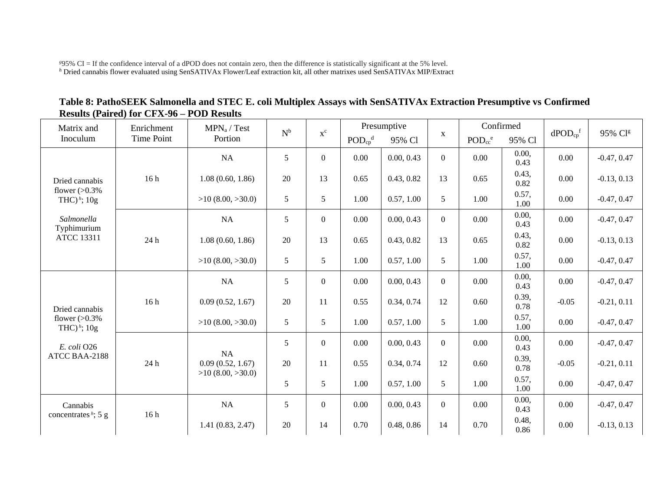*<sup>g</sup>*95% CI = If the confidence interval of a dPOD does not contain zero, then the difference is statistically significant at the 5% level. *<sup>h</sup>* Dried cannabis flower evaluated using SenSATIVAx Flower/Leaf extraction kit, all other matrixes used SenSATIVAx MIP/Extract

|                                                  |  | Table 8: PathoSEEK Salmonella and STEC E. coli Multiplex Assays with SenSATIVAx Extraction Presumptive vs Confirmed |  |  |
|--------------------------------------------------|--|---------------------------------------------------------------------------------------------------------------------|--|--|
| <b>Results (Paired) for CFX-96 – POD Results</b> |  |                                                                                                                     |  |  |
|                                                  |  |                                                                                                                     |  |  |

| Matrix and                          | Enrichment | MPN <sub>a</sub> / Test                    | $\mathbf{N}^{\text{b}}$ | $x^c$            |                                     | Presumptive |                | Confirmed                           |               |                                 | 95% Clg       |
|-------------------------------------|------------|--------------------------------------------|-------------------------|------------------|-------------------------------------|-------------|----------------|-------------------------------------|---------------|---------------------------------|---------------|
| Inoculum                            | Time Point | Portion                                    |                         |                  | $\text{POD}_{\text{cp}}^{\text{d}}$ | 95% Cl      | $\mathbf X$    | $\text{POD}_{\text{cc}}^{\text{e}}$ | 95% Cl        | $d\text{POD}_{cp}$ <sup>f</sup> |               |
|                                     |            | NA                                         | 5                       | $\overline{0}$   | 0.00                                | 0.00, 0.43  | $\overline{0}$ | 0.00                                | 0.00,<br>0.43 | 0.00                            | $-0.47, 0.47$ |
| Dried cannabis                      | 16h        | 1.08(0.60, 1.86)                           | 20                      | 13               | 0.65                                | 0.43, 0.82  | 13             | 0.65                                | 0.43,<br>0.82 | 0.00                            | $-0.13, 0.13$ |
| flower $(>0.3\%$<br>THC) $^h$ ; 10g |            | $>10$ (8.00, $>30.0$ )                     | $\mathfrak{S}$          | 5                | 1.00                                | 0.57, 1.00  | 5              | 1.00                                | 0.57,<br>1.00 | 0.00                            | $-0.47, 0.47$ |
| Salmonella<br>Typhimurium           |            | NA                                         | $\mathfrak s$           | $\overline{0}$   | 0.00                                | 0.00, 0.43  | $\overline{0}$ | 0.00                                | 0.00,<br>0.43 | 0.00                            | $-0.47, 0.47$ |
| <b>ATCC 13311</b>                   | 24 h       | 1.08(0.60, 1.86)                           | 20                      | 13               | 0.65                                | 0.43, 0.82  | 13             | 0.65                                | 0.43,<br>0.82 | 0.00                            | $-0.13, 0.13$ |
|                                     |            | $>10$ (8.00, $>30.0$ )                     | $\sqrt{5}$              | 5                | 1.00                                | 0.57, 1.00  | 5              | 1.00                                | 0.57,<br>1.00 | 0.00                            | $-0.47, 0.47$ |
|                                     |            | NA                                         | 5                       | $\overline{0}$   | 0.00                                | 0.00, 0.43  | $\overline{0}$ | 0.00                                | 0.00,<br>0.43 | 0.00                            | $-0.47, 0.47$ |
| Dried cannabis                      | 16h        | 0.09(0.52, 1.67)                           | 20                      | 11               | 0.55                                | 0.34, 0.74  | 12             | 0.60                                | 0.39,<br>0.78 | $-0.05$<br>0.00                 | $-0.21, 0.11$ |
| flower $(>0.3\%$<br>THC) $^h$ ; 10g |            | $>10$ (8.00, $>30.0$ )                     | 5                       | 5                | 1.00                                | 0.57, 1.00  | 5              | 1.00                                | 0.57,<br>1.00 |                                 | $-0.47, 0.47$ |
| E. coli O26                         |            | NA                                         | 5                       | $\overline{0}$   | 0.00                                | 0.00, 0.43  | $\overline{0}$ | 0.00                                | 0.00,<br>0.43 | 0.00                            | $-0.47, 0.47$ |
| ATCC BAA-2188                       | 24 h       | 0.09(0.52, 1.67)<br>$>10$ (8.00, $>30.0$ ) | $20\,$                  | 11               | 0.55                                | 0.34, 0.74  | 12             | 0.60                                | 0.39,<br>0.78 | $-0.05$                         | $-0.21, 0.11$ |
|                                     |            |                                            | 5                       | 5 <sup>5</sup>   | 1.00                                | 0.57, 1.00  | 5              | 1.00                                | 0.57,<br>1.00 | 0.00                            | $-0.47, 0.47$ |
| Cannabis<br>concentrates $h$ ; 5 g  | 16h        | NA                                         | 5                       | $\boldsymbol{0}$ | 0.00                                | 0.00, 0.43  | $\overline{0}$ | 0.00                                | 0.00,<br>0.43 | 0.00                            | $-0.47, 0.47$ |
|                                     |            | 1.41(0.83, 2.47)                           | 20                      | 14               | 0.70                                | 0.48, 0.86  | 14             | 0.70                                | 0.48,<br>0.86 | 0.00                            | $-0.13, 0.13$ |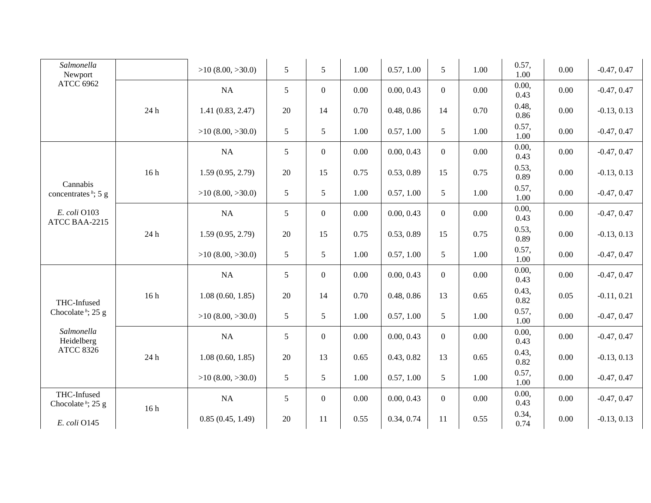| Salmonella<br>Newport                        |      | $>10$ (8.00, $>30.0$ ) | 5               | 5                | 1.00 | 0.57, 1.00 | 5              | 1.00 | 0.57,<br>1.00 | 0.00     | $-0.47, 0.47$ |
|----------------------------------------------|------|------------------------|-----------------|------------------|------|------------|----------------|------|---------------|----------|---------------|
| <b>ATCC 6962</b>                             |      | NA                     | 5               | $\mathbf{0}$     | 0.00 | 0.00, 0.43 | $\overline{0}$ | 0.00 | 0.00,<br>0.43 | 0.00     | $-0.47, 0.47$ |
|                                              | 24 h | 1.41(0.83, 2.47)       | 20              | 14               | 0.70 | 0.48, 0.86 | 14             | 0.70 | 0.48,<br>0.86 | 0.00     | $-0.13, 0.13$ |
|                                              |      | $>10$ (8.00, $>30.0$ ) | $5\overline{)}$ | $5\overline{)}$  | 1.00 | 0.57, 1.00 | 5              | 1.00 | 0.57,<br>1.00 | 0.00     | $-0.47, 0.47$ |
|                                              |      | NA                     | 5               | $\overline{0}$   | 0.00 | 0.00, 0.43 | $\overline{0}$ | 0.00 | 0.00,<br>0.43 | 0.00     | $-0.47, 0.47$ |
|                                              | 16h  | 1.59(0.95, 2.79)       | 20              | 15               | 0.75 | 0.53, 0.89 | 15             | 0.75 | 0.53,<br>0.89 | 0.00     | $-0.13, 0.13$ |
| Cannabis<br>concentrates $h$ ; 5 g           |      | $>10$ (8.00, $>30.0$ ) | $5\overline{)}$ | $5\overline{)}$  | 1.00 | 0.57, 1.00 | 5              | 1.00 | 0.57,<br>1.00 | $0.00\,$ | $-0.47, 0.47$ |
| E. coli O103<br>ATCC BAA-2215                | 24 h | NA                     | 5               | $\mathbf{0}$     | 0.00 | 0.00, 0.43 | $\overline{0}$ | 0.00 | 0.00,<br>0.43 | 0.00     | $-0.47, 0.47$ |
|                                              |      | 1.59(0.95, 2.79)       | 20              | 15               | 0.75 | 0.53, 0.89 | 15             | 0.75 | 0.53,<br>0.89 | 0.00     | $-0.13, 0.13$ |
|                                              |      | $>10$ (8.00, $>30.0$ ) | $5\overline{)}$ | $5\overline{)}$  | 1.00 | 0.57, 1.00 | 5              | 1.00 | 0.57,<br>1.00 | $0.00\,$ | $-0.47, 0.47$ |
|                                              |      | NA                     | 5               | $\boldsymbol{0}$ | 0.00 | 0.00, 0.43 | $\overline{0}$ | 0.00 | 0.00,<br>0.43 | $0.00\,$ | $-0.47, 0.47$ |
| THC-Infused                                  | 16h  | 1.08(0.60, 1.85)       | 20              | 14               | 0.70 | 0.48, 0.86 | 13             | 0.65 | 0.43,<br>0.82 | 0.05     | $-0.11, 0.21$ |
| Chocolate <sup><i>h</i></sup> ; 25 g         |      | $>10$ (8.00, $>30.0$ ) | 5               | 5                | 1.00 | 0.57, 1.00 | 5              | 1.00 | 0.57,<br>1.00 | 0.00     | $-0.47, 0.47$ |
| Salmonella<br>Heidelberg                     |      | NA                     | 5               | $\mathbf{0}$     | 0.00 | 0.00, 0.43 | $\overline{0}$ | 0.00 | 0.00,<br>0.43 | 0.00     | $-0.47, 0.47$ |
| <b>ATCC 8326</b>                             | 24 h | 1.08(0.60, 1.85)       | 20              | 13               | 0.65 | 0.43, 0.82 | 13             | 0.65 | 0.43,<br>0.82 | 0.00     | $-0.13, 0.13$ |
|                                              |      | $>10$ (8.00, $>30.0$ ) | 5               | 5                | 1.00 | 0.57, 1.00 | 5              | 1.00 | 0.57,<br>1.00 | $0.00\,$ | $-0.47, 0.47$ |
| THC-Infused<br>Chocolate <sup>h</sup> ; 25 g |      | NA                     | $5\overline{)}$ | $\mathbf{0}$     | 0.00 | 0.00, 0.43 | $\overline{0}$ | 0.00 | 0.00,<br>0.43 | 0.00     | $-0.47, 0.47$ |
| E. coli O145                                 | 16h  | 0.85(0.45, 1.49)       | 20              | 11               | 0.55 | 0.34, 0.74 | 11             | 0.55 | 0.34,<br>0.74 | 0.00     | $-0.13, 0.13$ |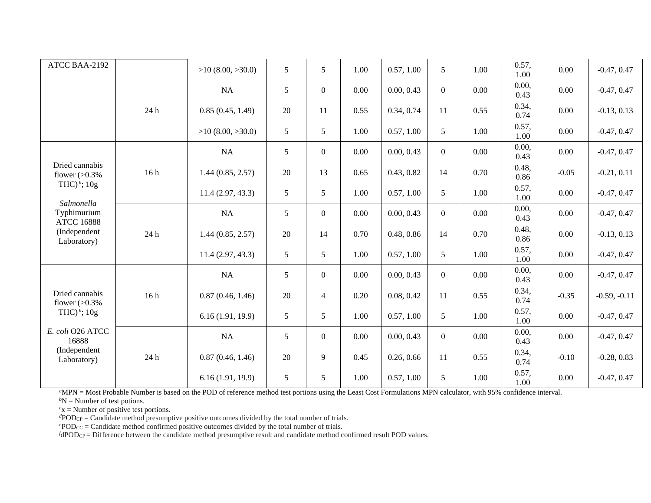| ATCC BAA-2192                      |      | $>10$ (8.00, $>30.0$ ) | 5      | 5              | 1.00 | 0.57, 1.00 | 5              | 1.00 | 0.57,<br>1.00 | 0.00                                              | $-0.47, 0.47$  |
|------------------------------------|------|------------------------|--------|----------------|------|------------|----------------|------|---------------|---------------------------------------------------|----------------|
|                                    |      | NA                     | 5      | $\overline{0}$ | 0.00 | 0.00, 0.43 | $\overline{0}$ | 0.00 | 0.00,<br>0.43 | 0.00                                              | $-0.47, 0.47$  |
|                                    | 24 h | 0.85(0.45, 1.49)       | 20     | 11             | 0.55 | 0.34, 0.74 | 11             | 0.55 | 0.34,<br>0.74 | 0.00                                              | $-0.13, 0.13$  |
|                                    |      | $>10$ (8.00, $>30.0$ ) | $5\,$  | 5              | 1.00 | 0.57, 1.00 | 5              | 1.00 | 0.57,<br>1.00 | 0.00                                              | $-0.47, 0.47$  |
|                                    |      | NA                     | 5      | $\overline{0}$ | 0.00 | 0.00, 0.43 | $\overline{0}$ | 0.00 | 0.00,<br>0.43 | 0.00                                              | $-0.47, 0.47$  |
| Dried cannabis<br>flower $(>0.3\%$ | 16h  | 1.44(0.85, 2.57)       | $20\,$ | 13             | 0.65 | 0.43, 0.82 | 14             | 0.70 | 0.48,<br>0.86 | $-0.05$<br>$-0.21, 0.11$<br>0.00<br>$-0.47, 0.47$ |                |
| THC) $^h$ ; 10g<br>Salmonella      |      | 11.4(2.97, 43.3)       | 5      | 5              | 1.00 | 0.57, 1.00 | 5              | 1.00 | 0.57,<br>1.00 |                                                   |                |
| Typhimurium<br><b>ATCC 16888</b>   | 24 h | NA                     | 5      | $\overline{0}$ | 0.00 | 0.00, 0.43 | $\overline{0}$ | 0.00 | 0.00,<br>0.43 | 0.00                                              | $-0.47, 0.47$  |
| (Independent<br>Laboratory)        |      | 1.44(0.85, 2.57)       | 20     | 14             | 0.70 | 0.48, 0.86 | 14             | 0.70 | 0.48,<br>0.86 | 0.00                                              | $-0.13, 0.13$  |
|                                    |      | 11.4(2.97, 43.3)       | $5\,$  | 5              | 1.00 | 0.57, 1.00 | 5              | 1.00 | 0.57,<br>1.00 | 0.00                                              | $-0.47, 0.47$  |
|                                    |      | NA                     | 5      | $\overline{0}$ | 0.00 | 0.00, 0.43 | $\overline{0}$ | 0.00 | 0.00,<br>0.43 | 0.00                                              | $-0.47, 0.47$  |
| Dried cannabis<br>flower $(>0.3\%$ | 16h  | 0.87(0.46, 1.46)       | 20     | $\overline{4}$ | 0.20 | 0.08, 0.42 | 11             | 0.55 | 0.34,<br>0.74 | $-0.35$                                           | $-0.59, -0.11$ |
| THC) $^h$ ; 10g                    |      | 6.16(1.91, 19.9)       | $5\,$  | 5              | 1.00 | 0.57, 1.00 | 5              | 1.00 | 0.57,<br>1.00 | 0.00                                              | $-0.47, 0.47$  |
| E. coli O26 ATCC<br>16888          |      | NA                     | 5      | $\overline{0}$ | 0.00 | 0.00, 0.43 | $\overline{0}$ | 0.00 | 0.00,<br>0.43 | 0.00                                              | $-0.47, 0.47$  |
| (Independent<br>Laboratory)        | 24 h | 0.87(0.46, 1.46)       | 20     | 9              | 0.45 | 0.26, 0.66 | 11             | 0.55 | 0.34,<br>0.74 | $-0.10$                                           | $-0.28, 0.83$  |
|                                    |      | 6.16(1.91, 19.9)       | 5      | 5              | 1.00 | 0.57, 1.00 | 5              | 1.00 | 0.57,<br>1.00 | 0.00                                              | $-0.47, 0.47$  |

*<sup>a</sup>*MPN = Most Probable Number is based on the POD of reference method test portions using the Least Cost Formulations MPN calculator, with 95% confidence interval.

 ${}^bN$  = Number of test potions.

 $c<sub>x</sub>$  = Number of positive test portions.

 $dPOD_{CP} =$  Candidate method presumptive positive outcomes divided by the total number of trials.

 $e^{\rho}POD_{CC}$  = Candidate method confirmed positive outcomes divided by the total number of trials.

*<sup>f</sup>*dPODCP = Difference between the candidate method presumptive result and candidate method confirmed result POD values.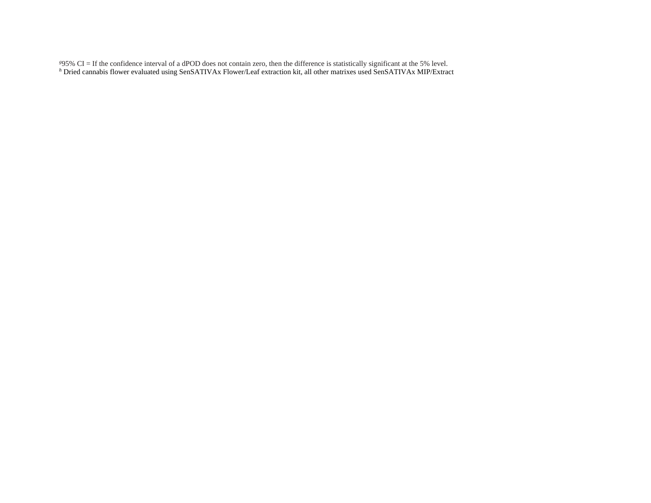*<sup>g</sup>*95% CI = If the confidence interval of a dPOD does not contain zero, then the difference is statistically significant at the 5% level. *h* Dried cannabis flower evaluated using SenSATIVAx Flower/Leaf extraction kit, all other matrixes used SenSATIVAx MIP/Extract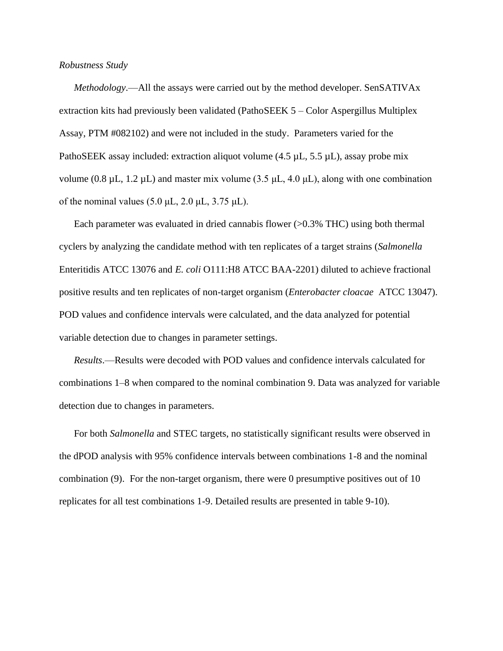#### *Robustness Study*

*Methodology*.—All the assays were carried out by the method developer. SenSATIVAx extraction kits had previously been validated (PathoSEEK 5 – Color Aspergillus Multiplex Assay, PTM #082102) and were not included in the study. Parameters varied for the PathoSEEK assay included: extraction aliquot volume  $(4.5 \mu L, 5.5 \mu L)$ , assay probe mix volume (0.8 μL, 1.2 μL) and master mix volume (3.5 μL, 4.0 μL), along with one combination of the nominal values  $(5.0 \mu L, 2.0 \mu L, 3.75 \mu L)$ .

Each parameter was evaluated in dried cannabis flower (>0.3% THC) using both thermal cyclers by analyzing the candidate method with ten replicates of a target strains (*Salmonella*  Enteritidis ATCC 13076 and *E. coli* O111:H8 ATCC BAA-2201) diluted to achieve fractional positive results and ten replicates of non-target organism (*Enterobacter cloacae* ATCC 13047). POD values and confidence intervals were calculated, and the data analyzed for potential variable detection due to changes in parameter settings.

*Results*.—Results were decoded with POD values and confidence intervals calculated for combinations 1–8 when compared to the nominal combination 9. Data was analyzed for variable detection due to changes in parameters.

For both *Salmonella* and STEC targets, no statistically significant results were observed in the dPOD analysis with 95% confidence intervals between combinations 1-8 and the nominal combination (9). For the non-target organism, there were 0 presumptive positives out of 10 replicates for all test combinations 1-9. Detailed results are presented in table 9-10).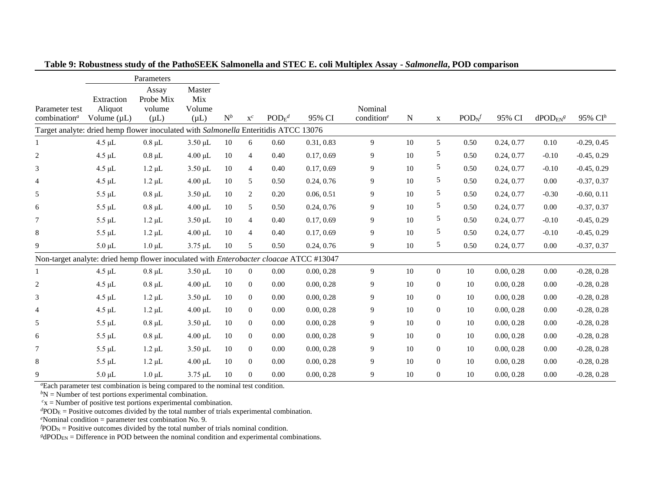|                          |                                                                                        | Parameters            |               |        |                |                  |            |                                     |        |                  |                  |            |                              |               |
|--------------------------|----------------------------------------------------------------------------------------|-----------------------|---------------|--------|----------------|------------------|------------|-------------------------------------|--------|------------------|------------------|------------|------------------------------|---------------|
|                          |                                                                                        | Assay                 | Master        |        |                |                  |            |                                     |        |                  |                  |            |                              |               |
| Parameter test           | Extraction<br>Aliquot                                                                  | Probe Mix<br>volume   | Mix<br>Volume |        |                |                  |            | Nominal                             |        |                  |                  |            |                              |               |
| combination <sup>a</sup> | Volume $(\mu L)$                                                                       | $(\mu L)$             | $(\mu L)$     | $N^b$  | $\mathbf{x}^c$ | $\text{POD}_E^d$ | 95% CI     | condition <sup><math>e</math></sup> | N      | $\mathbf X$      | $\text{POD}_N^f$ | 95% CI     | $d$ POD $_{EN}$ <sup>g</sup> | 95% $CIh$     |
|                          | Target analyte: dried hemp flower inoculated with Salmonella Enteritidis ATCC          |                       |               |        |                |                  | 13076      |                                     |        |                  |                  |            |                              |               |
|                          | $4.5 \mu L$                                                                            | $0.8 \mu L$           | $3.50 \mu L$  | 10     | 6              | 0.60             | 0.31, 0.83 | $\overline{9}$                      | 10     | 5                | 0.50             | 0.24, 0.77 | 0.10                         | $-0.29, 0.45$ |
| $\overline{c}$           | $4.5 \mu L$                                                                            | $0.8 \mu L$           | $4.00 \mu L$  | 10     | $\overline{4}$ | 0.40             | 0.17, 0.69 | 9                                   | 10     | 5                | 0.50             | 0.24, 0.77 | $-0.10$                      | $-0.45, 0.29$ |
| 3                        | $4.5 \mu L$                                                                            | $1.2 \mu L$           | $3.50 \mu L$  | 10     | $\overline{4}$ | 0.40             | 0.17, 0.69 | 9                                   | 10     | 5                | 0.50             | 0.24, 0.77 | $-0.10$                      | $-0.45, 0.29$ |
| $\overline{4}$           | $4.5 \mu L$                                                                            | $1.2 \mu L$           | $4.00 \mu L$  | 10     | 5              | 0.50             | 0.24, 0.76 | $\boldsymbol{9}$                    | 10     | 5                | 0.50             | 0.24, 0.77 | 0.00                         | $-0.37, 0.37$ |
| 5                        | $5.5 \mu L$                                                                            | $0.8 \mu L$           | $3.50 \mu L$  | 10     | $\overline{2}$ | 0.20             | 0.06, 0.51 | 9                                   | 10     | 5                | 0.50             | 0.24, 0.77 | $-0.30$                      | $-0.60, 0.11$ |
| 6                        | $5.5 \mu L$                                                                            | $0.8 \mu L$           | $4.00 \mu L$  | 10     | 5              | 0.50             | 0.24, 0.76 | 9                                   | 10     | 5                | 0.50             | 0.24, 0.77 | 0.00                         | $-0.37, 0.37$ |
| $\tau$                   | $5.5 \mu L$                                                                            | $1.2 \mu L$           | $3.50 \mu L$  | 10     | $\overline{4}$ | 0.40             | 0.17, 0.69 | 9                                   | 10     | 5                | 0.50             | 0.24, 0.77 | $-0.10$                      | $-0.45, 0.29$ |
| 8                        | $5.5 \mu L$                                                                            | $1.2 \mu L$           | $4.00 \mu L$  | 10     | $\overline{4}$ | 0.40             | 0.17, 0.69 | 9                                   | 10     | 5                | 0.50             | 0.24, 0.77 | $-0.10$                      | $-0.45, 0.29$ |
| 9                        | $5.0 \mu L$                                                                            | $1.0 \mu L$           | $3.75 \mu L$  | 10     | 5              | 0.50             | 0.24, 0.76 | 9                                   | 10     | 5                | 0.50             | 0.24, 0.77 | 0.00                         | $-0.37, 0.37$ |
|                          | Non-target analyte: dried hemp flower inoculated with Enterobacter cloacae ATCC #13047 |                       |               |        |                |                  |            |                                     |        |                  |                  |            |                              |               |
| 1                        | $4.5 \mu L$                                                                            | $0.8 \mu L$           | $3.50 \mu L$  | 10     | $\overline{0}$ | 0.00             | 0.00, 0.28 | $\overline{9}$                      | 10     | $\Omega$         | 10               | 0.00, 0.28 | 0.00                         | $-0.28, 0.28$ |
| $\overline{c}$           | $4.5 \mu L$                                                                            | $0.8 \mu L$           | $4.00 \mu L$  | 10     | $\overline{0}$ | 0.00             | 0.00, 0.28 | 9                                   | 10     | $\overline{0}$   | 10               | 0.00, 0.28 | 0.00                         | $-0.28, 0.28$ |
| 3                        | $4.5 \mu L$                                                                            | $1.2 \mu L$           | $3.50 \mu L$  | 10     | $\overline{0}$ | 0.00             | 0.00, 0.28 | 9                                   | 10     | $\boldsymbol{0}$ | $10\,$           | 0.00, 0.28 | 0.00                         | $-0.28, 0.28$ |
| $\overline{4}$           | $4.5 \mu L$                                                                            | $1.2 \mu L$           | $4.00 \mu L$  | 10     | $\overline{0}$ | 0.00             | 0.00, 0.28 | 9                                   | 10     | $\boldsymbol{0}$ | 10               | 0.00, 0.28 | 0.00                         | $-0.28, 0.28$ |
| 5                        | $5.5 \mu L$                                                                            | $0.8 \mu L$           | $3.50 \mu L$  | 10     | $\overline{0}$ | 0.00             | 0.00, 0.28 | 9                                   | 10     | $\overline{0}$   | 10               | 0.00, 0.28 | 0.00                         | $-0.28, 0.28$ |
| 6                        | $5.5 \mu L$                                                                            | $0.8~\upmu\mathrm{L}$ | $4.00 \mu L$  | 10     | $\overline{0}$ | 0.00             | 0.00, 0.28 | 9                                   | 10     | $\overline{0}$   | 10               | 0.00, 0.28 | 0.00                         | $-0.28, 0.28$ |
| $\tau$                   | $5.5 \mu L$                                                                            | $1.2 \mu L$           | $3.50 \mu L$  | 10     | $\overline{0}$ | 0.00             | 0.00, 0.28 | 9                                   | 10     | $\overline{0}$   | 10               | 0.00, 0.28 | 0.00                         | $-0.28, 0.28$ |
| 8                        | $5.5 \mu L$                                                                            | $1.2 \mu L$           | $4.00 \mu L$  | 10     | $\overline{0}$ | 0.00             | 0.00, 0.28 | 9                                   | 10     | $\overline{0}$   | 10               | 0.00, 0.28 | 0.00                         | $-0.28, 0.28$ |
| 9                        | $5.0 \mu L$                                                                            | $1.0 \mu L$           | $3.75 \mu L$  | $10\,$ | $\overline{0}$ | 0.00             | 0.00, 0.28 | 9                                   | $10\,$ | $\overline{0}$   | $10\,$           | 0.00, 0.28 | $0.00\,$                     | $-0.28, 0.28$ |

**Table 9: Robustness study of the PathoSEEK Salmonella and STEC E. coli Multiplex Assay -** *Salmonella***, POD comparison**

*<sup>a</sup>*Each parameter test combination is being compared to the nominal test condition.

 $bN =$ Number of test portions experimental combination.

 $c<sub>x</sub>$  = Number of positive test portions experimental combination.

*<sup>d</sup>*POD<sup>E</sup> = Positive outcomes divided by the total number of trials experimental combination.

*<sup>e</sup>*Nominal condition = parameter test combination No. 9.

 $fPOD<sub>N</sub>$  = Positive outcomes divided by the total number of trials nominal condition.

<sup>*g*</sup>dPOD<sub>EN</sub> = Difference in POD between the nominal condition and experimental combinations.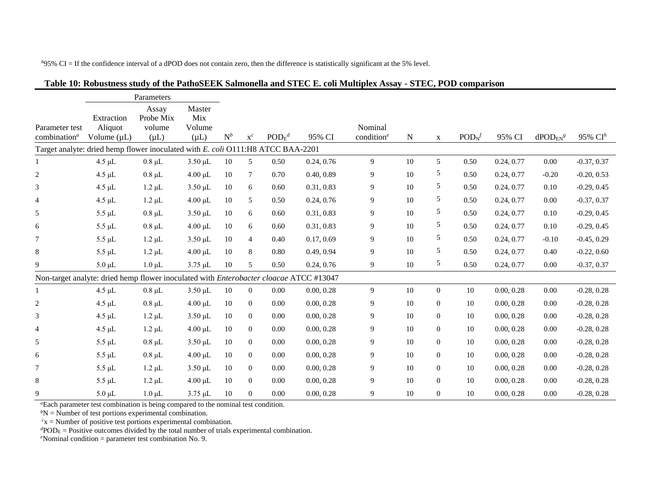Parameter test combination*<sup>a</sup>* Parameters Extraction Aliquot Volume (uL) Assay Probe Mix volume  $(uL)$ Master Mix Volume  $(uL)$   $N^b$   $x^c$  $POD<sub>F</sub><sup>d</sup>$ *<sup>d</sup>* 95% CI Nominal condition<sup>e</sup> N x  $POD<sub>N</sub>$ <sup>f</sup> 95% CI  $\frac{dPOD_{FN}g}{dt}$ *<sup>g</sup>* 95% CI*<sup>h</sup>* Target analyte: dried hemp flower inoculated with *E. coli* O111:H8 ATCC BAA-2201 1 4.5 μL 0.8 μL 3.50 μL 10 5 0.50 0.24, 0.76 9 10 5 0.50 0.24, 0.77 0.00 -0.37, 0.37 2 4.5 μL 0.8 μL 4.00 μL 10 7 0.70 0.40, 0.89 9 10 5 0.50 0.24, 0.77 -0.20 -0.20, 0.53 3 4.5 μL 1.2 μL 3.50 μL 10 6 0.60 0.31, 0.83 9 10 5 0.50 0.24, 0.77 0.10 -0.29, 0.45 4 4.5 μL 1.2 μL 4.00 μL 10 5 0.50 0.24, 0.76 9 10 5 0.50 0.24, 0.77 0.00 -0.37, 0.37 5 5.5 μL 0.8 μL 3.50 μL 10 6 0.60 0.31, 0.83 9 10 5 0.50 0.24, 0.77 0.10 -0.29, 0.45 6 5.5 μL 0.8 μL 4.00 μL 10 6 0.60 0.31, 0.83 9 10 5 0.50 0.24, 0.77 0.10 -0.29, 0.45 7 5.5 μL 1.2 μL 3.50 μL 10 4 0.40 0.17, 0.69 9 10 5 0.50 0.24, 0.77 -0.10 -0.45, 0.29 8 5.5 μL 1.2 μL 4.00 μL 10 8 0.80 0.49, 0.94 9 10 5 0.50 0.24, 0.77 0.40 -0.22, 0.60 9 5.0 μL 1.0 μL 3.75 μL 10 5 0.50 0.24, 0.76 9 10 5 0.50 0.24, 0.77 0.00 -0.37, 0.37 Non-target analyte: dried hemp flower inoculated with *Enterobacter cloacae* ATCC #13047 1 4.5 μL 0.8 μL 3.50 μL 10 0 0.00 0.00, 0.28 9 10 0 10 0.00, 0.28 0.00 -0.28, 0.28  $2$  4.5 μL  $0.8$  μL  $4.00$  μL  $10$  0  $0.00$   $0.00, 0.28$  9  $10$  0  $10$   $0.00, 0.28$   $0.00$   $-0.28, 0.28$ 3 4.5 μL 1.2 μL 3.50 μL 10 0 0.00 0.00, 0.28 9 10 0 10 0.00, 0.28 0.00 -0.28, 0.28 4 4.5 μL 1.2 μL 4.00 μL 10 0 0.00 0.00, 0.28 9 10 0 10 0.00, 0.28 0.00 -0.28, 0.28 5 5.5 μL 0.8 μL 3.50 μL 10 0 0.00 0.00, 0.28 9 10 0 10 0.00, 0.28 0.00 -0.28, 0.28 6 5.5 μL 0.8 μL 4.00 μL 10 0 0.00 0.00, 0.28 9 10 0 10 0.00, 0.28 0.00 -0.28, 0.28 7 5.5 μL 1.2 μL 3.50 μL 10 0 0.00 0.00, 0.28 9 10 0 10 0.00, 0.28 0.00 -0.28, 0.28 8 5.5 μL 1.2 μL 4.00 μL 10 0 0.00 0.00, 0.28 9 10 0 10 0.00, 0.28 0.00 -0.28, 0.28 9 5.0 μL 1.0 μL 3.75 μL 10 0 0.00 0.00, 0.28 9 10 0 10 0.00, 0.28 0.00 -0.28, 0.28

#### **Table 10: Robustness study of the PathoSEEK Salmonella and STEC E. coli Multiplex Assay - STEC, POD comparison**

*h*95% CI = If the confidence interval of a dPOD does not contain zero, then the difference is statistically significant at the 5% level.

*<sup>a</sup>*Each parameter test combination is being compared to the nominal test condition.

 $bN$  = Number of test portions experimental combination.

 $c<sub>x</sub>$  = Number of positive test portions experimental combination.

 $d$ POD<sub>E</sub> = Positive outcomes divided by the total number of trials experimental combination.

*e*Nominal condition = parameter test combination No. 9.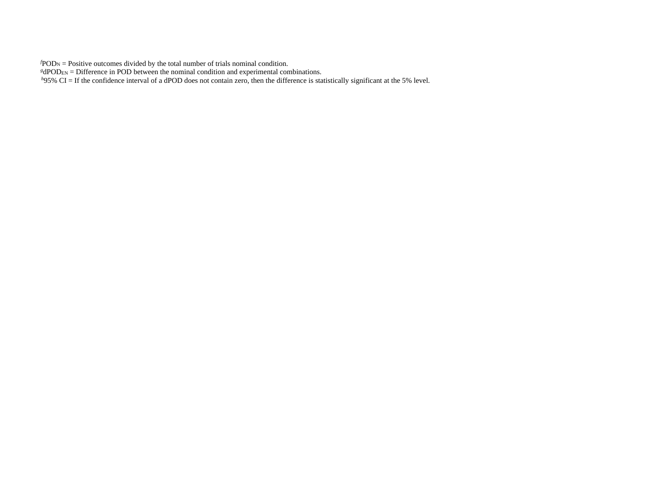$fPOD<sub>N</sub>$  = Positive outcomes divided by the total number of trials nominal condition.

 $g d$ POD<sub>EN</sub> = Difference in POD between the nominal condition and experimental combinations.

*h*95% CI = If the confidence interval of a dPOD does not contain zero, then the difference is statistically significant at the 5% level.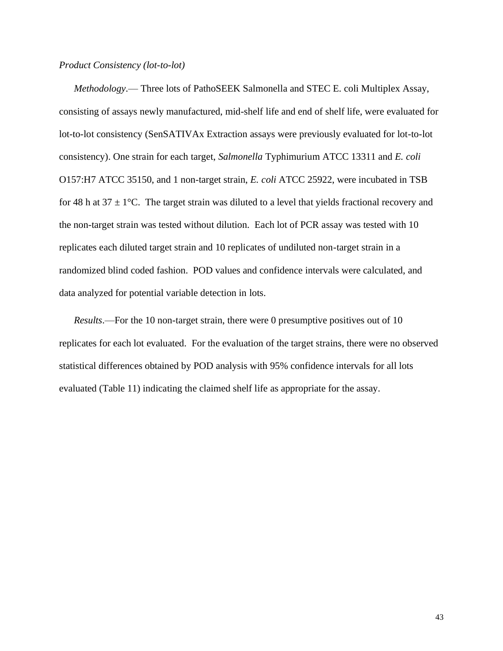#### *Product Consistency (lot-to-lot)*

*Methodology*.— Three lots of PathoSEEK Salmonella and STEC E. coli Multiplex Assay, consisting of assays newly manufactured, mid-shelf life and end of shelf life, were evaluated for lot-to-lot consistency (SenSATIVAx Extraction assays were previously evaluated for lot-to-lot consistency). One strain for each target, *Salmonella* Typhimurium ATCC 13311 and *E. coli*  O157:H7 ATCC 35150, and 1 non-target strain, *E. coli* ATCC 25922, were incubated in TSB for 48 h at  $37 \pm 1$ °C. The target strain was diluted to a level that yields fractional recovery and the non-target strain was tested without dilution. Each lot of PCR assay was tested with 10 replicates each diluted target strain and 10 replicates of undiluted non-target strain in a randomized blind coded fashion. POD values and confidence intervals were calculated, and data analyzed for potential variable detection in lots.

*Results*.—For the 10 non-target strain, there were 0 presumptive positives out of 10 replicates for each lot evaluated. For the evaluation of the target strains, there were no observed statistical differences obtained by POD analysis with 95% confidence intervals for all lots evaluated (Table 11) indicating the claimed shelf life as appropriate for the assay.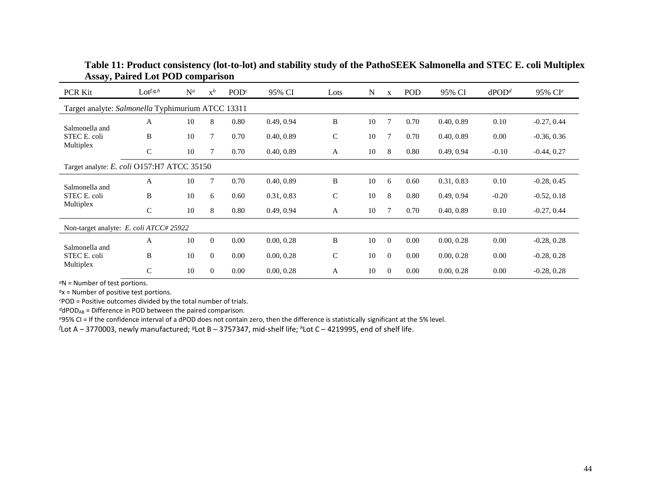| <b>PCR Kit</b>                                    | $\mathrm{Lot}^{f, g, h}$ | $N^a$ | $x^b$    | POD <sup>c</sup> | 95% CI     | Lots         | N  | X              | POD  | 95% CI     | $d$ POD <sup>d</sup> | 95% CI <sup>e</sup> |
|---------------------------------------------------|--------------------------|-------|----------|------------------|------------|--------------|----|----------------|------|------------|----------------------|---------------------|
| Target analyte: Salmonella Typhimurium ATCC 13311 |                          |       |          |                  |            |              |    |                |      |            |                      |                     |
| Salmonella and                                    | A                        | 10    | 8        | 0.80             | 0.49, 0.94 | B            | 10 | $\overline{7}$ | 0.70 | 0.40, 0.89 | 0.10                 | $-0.27, 0.44$       |
| STEC E. coli                                      | B                        | 10    | 7        | 0.70             | 0.40, 0.89 | $\mathsf{C}$ | 10 | 7              | 0.70 | 0.40, 0.89 | 0.00                 | $-0.36, 0.36$       |
| Multiplex                                         | $\mathsf{C}$             | 10    |          | 0.70             | 0.40, 0.89 | A            | 10 | 8              | 0.80 | 0.49, 0.94 | $-0.10$              | $-0.44, 0.27$       |
| Target analyte: E. coli O157:H7 ATCC 35150        |                          |       |          |                  |            |              |    |                |      |            |                      |                     |
| Salmonella and                                    | A                        | 10    | 7        | 0.70             | 0.40, 0.89 | B            | 10 | 6              | 0.60 | 0.31, 0.83 | 0.10                 | $-0.28, 0.45$       |
| STEC E. coli                                      | B                        | 10    | 6        | 0.60             | 0.31, 0.83 | $\mathsf{C}$ | 10 | 8              | 0.80 | 0.49, 0.94 | $-0.20$              | $-0.52, 0.18$       |
| Multiplex                                         | $\mathsf{C}$             | 10    | 8        | 0.80             | 0.49, 0.94 | A            | 10 | 7              | 0.70 | 0.40, 0.89 | 0.10                 | $-0.27, 0.44$       |
| Non-target analyte: E. coli ATCC# 25922           |                          |       |          |                  |            |              |    |                |      |            |                      |                     |
| Salmonella and                                    | A                        | 10    | $\theta$ | 0.00             | 0.00, 0.28 | B            | 10 | $\Omega$       | 0.00 | 0.00, 0.28 | 0.00                 | $-0.28, 0.28$       |
| STEC E. coli                                      | B                        | 10    | $\theta$ | 0.00             | 0.00, 0.28 | $\mathsf{C}$ | 10 | $\Omega$       | 0.00 | 0.00, 0.28 | 0.00                 | $-0.28, 0.28$       |
| Multiplex                                         | $\mathsf{C}$             | 10    | $\Omega$ | 0.00             | 0.00, 0.28 | A            | 10 | $\mathbf{0}$   | 0.00 | 0.00, 0.28 | 0.00                 | $-0.28, 0.28$       |

**Table 11: Product consistency (lot-to-lot) and stability study of the PathoSEEK Salmonella and STEC E. coli Multiplex Assay, Paired Lot POD comparison**

*<sup>a</sup>*N = Number of test portions.

*<sup>b</sup>*x = Number of positive test portions.

*<sup>c</sup>*POD = Positive outcomes divided by the total number of trials.

 $d$ dPOD<sub>AB</sub> = Difference in POD between the paired comparison.

*<sup>e</sup>*95% CI = If the confidence interval of a dPOD does not contain zero, then the difference is statistically significant at the 5% level.

*<sup>f</sup>*Lot A – 3770003, newly manufactured; *<sup>g</sup>*Lot B – 3757347, mid-shelf life; *<sup>h</sup>*Lot C – 4219995, end of shelf life.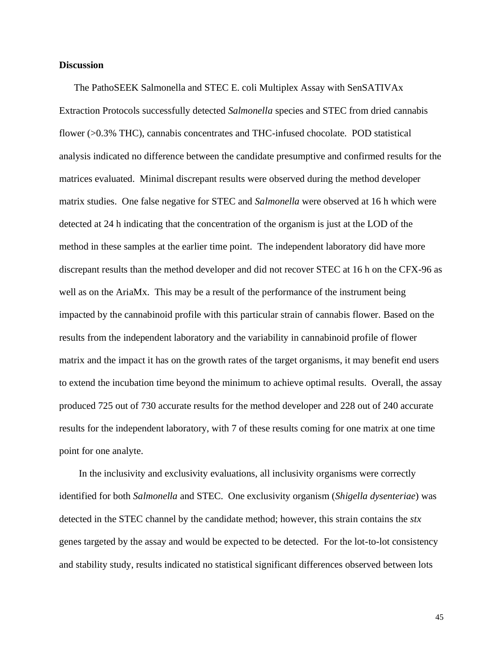#### **Discussion**

The PathoSEEK Salmonella and STEC E. coli Multiplex Assay with SenSATIVAx Extraction Protocols successfully detected *Salmonella* species and STEC from dried cannabis flower (>0.3% THC), cannabis concentrates and THC-infused chocolate. POD statistical analysis indicated no difference between the candidate presumptive and confirmed results for the matrices evaluated. Minimal discrepant results were observed during the method developer matrix studies. One false negative for STEC and *Salmonella* were observed at 16 h which were detected at 24 h indicating that the concentration of the organism is just at the LOD of the method in these samples at the earlier time point. The independent laboratory did have more discrepant results than the method developer and did not recover STEC at 16 h on the CFX-96 as well as on the AriaMx. This may be a result of the performance of the instrument being impacted by the cannabinoid profile with this particular strain of cannabis flower. Based on the results from the independent laboratory and the variability in cannabinoid profile of flower matrix and the impact it has on the growth rates of the target organisms, it may benefit end users to extend the incubation time beyond the minimum to achieve optimal results. Overall, the assay produced 725 out of 730 accurate results for the method developer and 228 out of 240 accurate results for the independent laboratory, with 7 of these results coming for one matrix at one time point for one analyte.

In the inclusivity and exclusivity evaluations, all inclusivity organisms were correctly identified for both *Salmonella* and STEC. One exclusivity organism (*Shigella dysenteriae*) was detected in the STEC channel by the candidate method; however, this strain contains the *stx*  genes targeted by the assay and would be expected to be detected. For the lot-to-lot consistency and stability study, results indicated no statistical significant differences observed between lots

45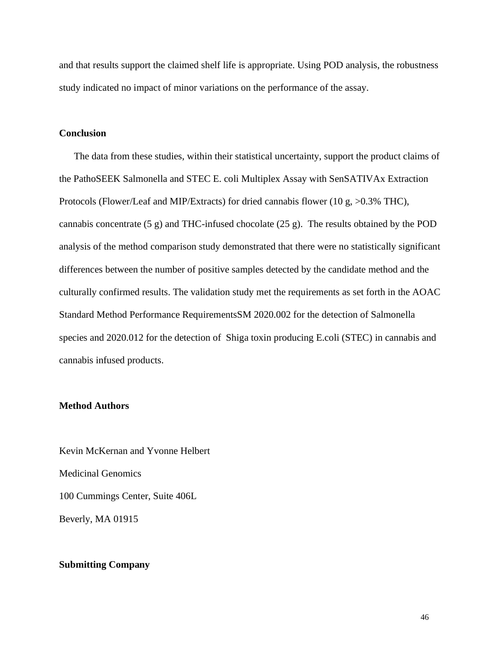and that results support the claimed shelf life is appropriate. Using POD analysis, the robustness study indicated no impact of minor variations on the performance of the assay.

#### **Conclusion**

The data from these studies, within their statistical uncertainty, support the product claims of the PathoSEEK Salmonella and STEC E. coli Multiplex Assay with SenSATIVAx Extraction Protocols (Flower/Leaf and MIP/Extracts) for dried cannabis flower (10 g, >0.3% THC), cannabis concentrate (5 g) and THC-infused chocolate (25 g). The results obtained by the POD analysis of the method comparison study demonstrated that there were no statistically significant differences between the number of positive samples detected by the candidate method and the culturally confirmed results. The validation study met the requirements as set forth in the AOAC Standard Method Performance RequirementsSM 2020.002 for the detection of Salmonella species and 2020.012 for the detection of Shiga toxin producing E.coli (STEC) in cannabis and cannabis infused products.

#### **Method Authors**

Kevin McKernan and Yvonne Helbert Medicinal Genomics 100 Cummings Center, Suite 406L Beverly, MA 01915

#### **Submitting Company**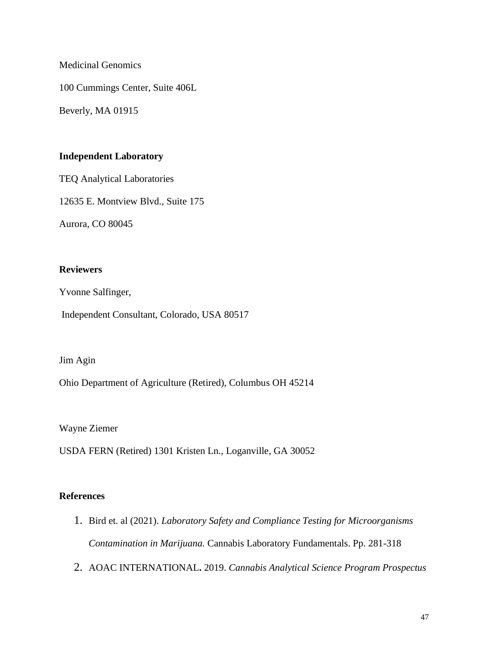Medicinal Genomics

100 Cummings Center, Suite 406L

Beverly, MA 01915

# **Independent Laboratory**

TEQ Analytical Laboratories

12635 E. Montview Blvd., Suite 175

Aurora, CO 80045

# **Reviewers**

Yvonne Salfinger,

Independent Consultant, Colorado, USA 80517

## Jim Agin

Ohio Department of Agriculture (Retired), Columbus OH 45214

Wayne Ziemer

USDA FERN (Retired) 1301 Kristen Ln., Loganville, GA 30052

# **References**

- 1. Bird et. al (2021). *Laboratory Safety and Compliance Testing for Microorganisms Contamination in Marijuana.* Cannabis Laboratory Fundamentals. Pp. 281-318
- 2. AOAC INTERNATIONAL**.** 2019. *Cannabis Analytical Science Program Prospectus*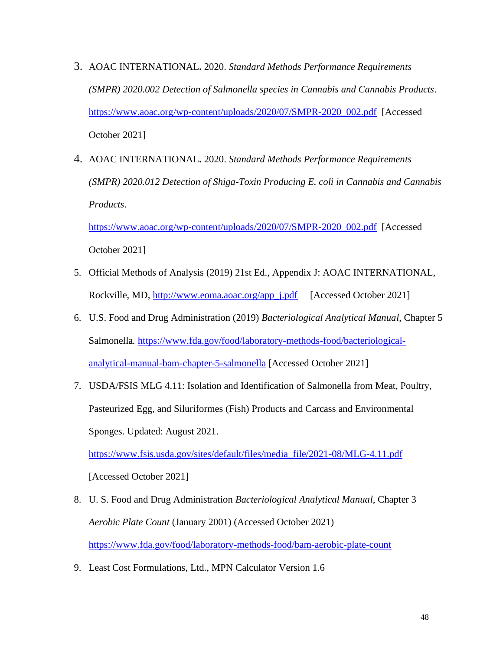- 3. AOAC INTERNATIONAL**.** 2020. *Standard Methods Performance Requirements (SMPR) 2020.002 Detection of Salmonella species in Cannabis and Cannabis Products*. [https://www.aoac.org/wp-content/uploads/2020/07/SMPR-2020\\_002.pdf](https://www.aoac.org/wp-content/uploads/2020/07/SMPR-2020_002.pdf) [Accessed October 2021]
- 4. AOAC INTERNATIONAL**.** 2020. *Standard Methods Performance Requirements (SMPR) 2020.012 Detection of Shiga-Toxin Producing E. coli in Cannabis and Cannabis Products*.

[https://www.aoac.org/wp-content/uploads/2020/07/SMPR-2020\\_002.pdf](https://www.aoac.org/wp-content/uploads/2020/07/SMPR-2020_002.pdf) [Accessed October 2021]

- 5. Official Methods of Analysis (2019) 21st Ed., Appendix J: AOAC INTERNATIONAL, Rockville, MD, [http://www.eoma.aoac.org/app\\_j.pdf](http://www.eoma.aoac.org/app_j.pdf) [Accessed October 2021]
- 6. U.S. Food and Drug Administration (2019) *Bacteriological Analytical Manual*, Chapter 5 Salmonella*.* [https://www.fda.gov/food/laboratory-methods-food/bacteriological](https://www.fda.gov/food/laboratory-methods-food/bacteriological-analytical-manual-bam-chapter-5-salmonella)[analytical-manual-bam-chapter-5-salmonella](https://www.fda.gov/food/laboratory-methods-food/bacteriological-analytical-manual-bam-chapter-5-salmonella) [Accessed October 2021]
- 7. USDA/FSIS MLG 4.11: Isolation and Identification of Salmonella from Meat, Poultry, Pasteurized Egg, and Siluriformes (Fish) Products and Carcass and Environmental Sponges. Updated: August 2021.

[https://www.fsis.usda.gov/sites/default/files/media\\_file/2021-08/MLG-4.11.pdf](https://www.fsis.usda.gov/sites/default/files/media_file/2021-08/MLG-4.11.pdf)

[Accessed October 2021]

- 8. U. S. Food and Drug Administration *Bacteriological Analytical Manual*, Chapter 3 *Aerobic Plate Count* (January 2001) (Accessed October 2021) <https://www.fda.gov/food/laboratory-methods-food/bam-aerobic-plate-count>
- 9. Least Cost Formulations, Ltd., MPN Calculator Version 1.6